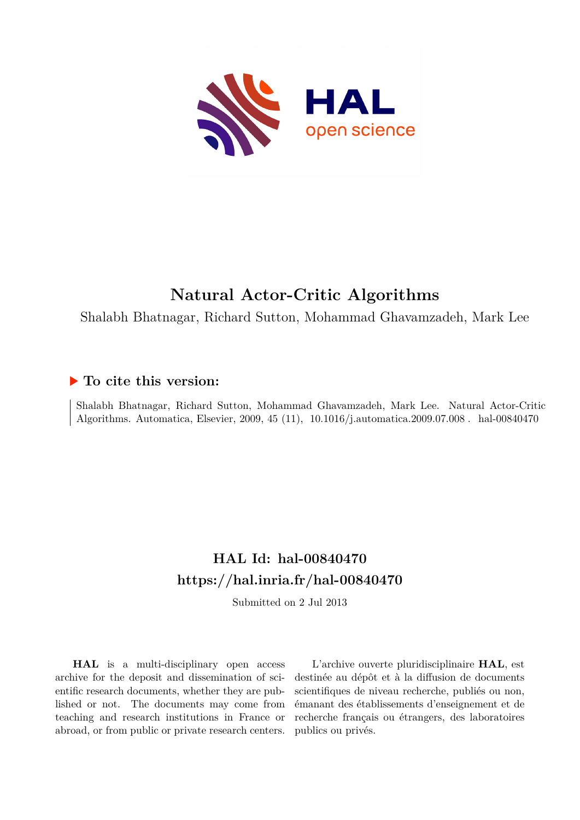

# **Natural Actor-Critic Algorithms**

Shalabh Bhatnagar, Richard Sutton, Mohammad Ghavamzadeh, Mark Lee

## **To cite this version:**

Shalabh Bhatnagar, Richard Sutton, Mohammad Ghavamzadeh, Mark Lee. Natural Actor-Critic Algorithms. Automatica, Elsevier, 2009, 45 (11), 10.1016/j.automatica.2009.07.008. hal-00840470

# **HAL Id: hal-00840470 <https://hal.inria.fr/hal-00840470>**

Submitted on 2 Jul 2013

**HAL** is a multi-disciplinary open access archive for the deposit and dissemination of scientific research documents, whether they are published or not. The documents may come from teaching and research institutions in France or abroad, or from public or private research centers.

L'archive ouverte pluridisciplinaire **HAL**, est destinée au dépôt et à la diffusion de documents scientifiques de niveau recherche, publiés ou non, émanant des établissements d'enseignement et de recherche français ou étrangers, des laboratoires publics ou privés.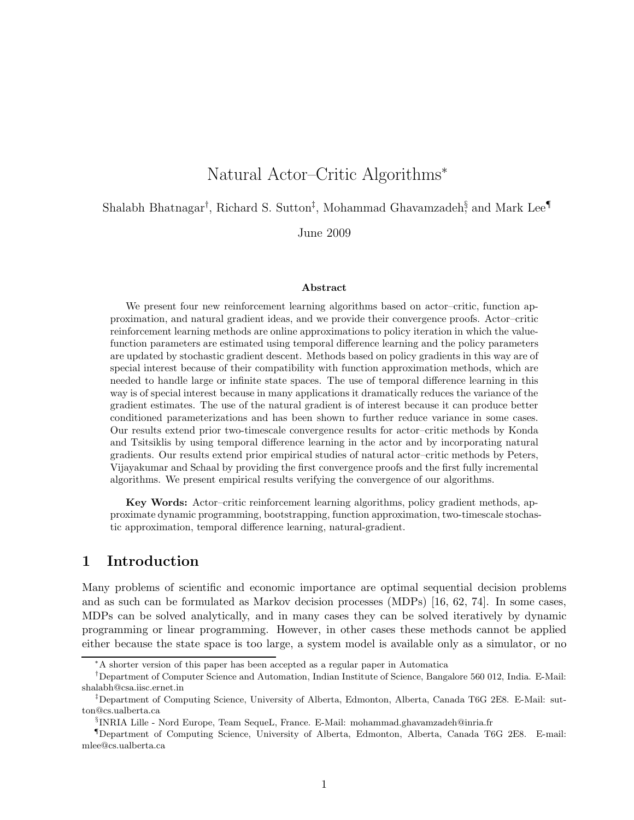## Natural Actor–Critic Algorithms<sup>∗</sup>

Shalabh Bhatnagar<sup>†</sup>, Richard S. Sutton<sup>‡</sup>, Mohammad Ghavamzadeh<sup>§</sup> and Mark Lee¶

June 2009

#### Abstract

We present four new reinforcement learning algorithms based on actor–critic, function approximation, and natural gradient ideas, and we provide their convergence proofs. Actor–critic reinforcement learning methods are online approximations to policy iteration in which the valuefunction parameters are estimated using temporal difference learning and the policy parameters are updated by stochastic gradient descent. Methods based on policy gradients in this way are of special interest because of their compatibility with function approximation methods, which are needed to handle large or infinite state spaces. The use of temporal difference learning in this way is of special interest because in many applications it dramatically reduces the variance of the gradient estimates. The use of the natural gradient is of interest because it can produce better conditioned parameterizations and has been shown to further reduce variance in some cases. Our results extend prior two-timescale convergence results for actor–critic methods by Konda and Tsitsiklis by using temporal difference learning in the actor and by incorporating natural gradients. Our results extend prior empirical studies of natural actor–critic methods by Peters, Vijayakumar and Schaal by providing the first convergence proofs and the first fully incremental algorithms. We present empirical results verifying the convergence of our algorithms.

Key Words: Actor–critic reinforcement learning algorithms, policy gradient methods, approximate dynamic programming, bootstrapping, function approximation, two-timescale stochastic approximation, temporal difference learning, natural-gradient.

## 1 Introduction

Many problems of scientific and economic importance are optimal sequential decision problems and as such can be formulated as Markov decision processes (MDPs) [16, 62, 74]. In some cases, MDPs can be solved analytically, and in many cases they can be solved iteratively by dynamic programming or linear programming. However, in other cases these methods cannot be applied either because the state space is too large, a system model is available only as a simulator, or no

<sup>∗</sup>A shorter version of this paper has been accepted as a regular paper in Automatica

<sup>†</sup>Department of Computer Science and Automation, Indian Institute of Science, Bangalore 560 012, India. E-Mail: shalabh@csa.iisc.ernet.in

<sup>‡</sup>Department of Computing Science, University of Alberta, Edmonton, Alberta, Canada T6G 2E8. E-Mail: sutton@cs.ualberta.ca

<sup>§</sup> INRIA Lille - Nord Europe, Team SequeL, France. E-Mail: mohammad.ghavamzadeh@inria.fr

<sup>¶</sup>Department of Computing Science, University of Alberta, Edmonton, Alberta, Canada T6G 2E8. E-mail: mlee@cs.ualberta.ca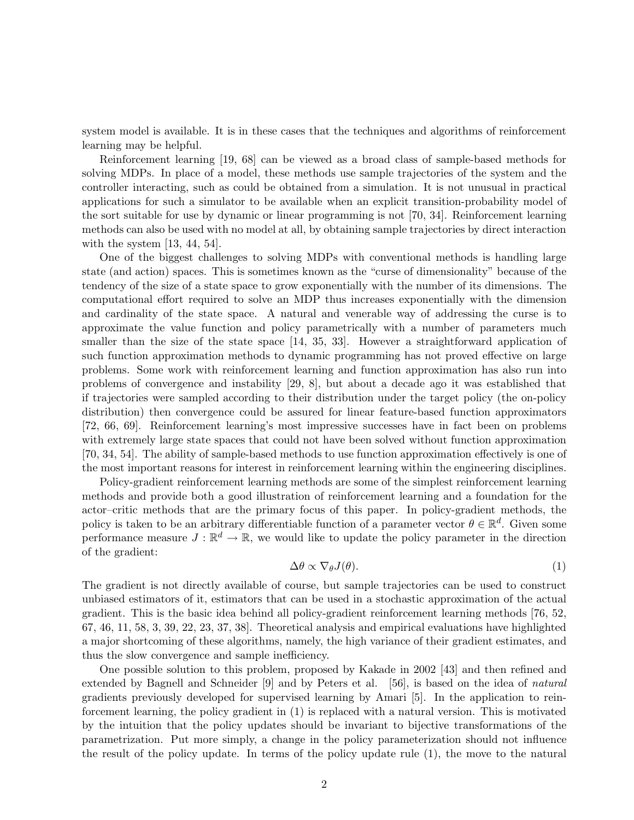system model is available. It is in these cases that the techniques and algorithms of reinforcement learning may be helpful.

Reinforcement learning [19, 68] can be viewed as a broad class of sample-based methods for solving MDPs. In place of a model, these methods use sample trajectories of the system and the controller interacting, such as could be obtained from a simulation. It is not unusual in practical applications for such a simulator to be available when an explicit transition-probability model of the sort suitable for use by dynamic or linear programming is not [70, 34]. Reinforcement learning methods can also be used with no model at all, by obtaining sample trajectories by direct interaction with the system [13, 44, 54].

One of the biggest challenges to solving MDPs with conventional methods is handling large state (and action) spaces. This is sometimes known as the "curse of dimensionality" because of the tendency of the size of a state space to grow exponentially with the number of its dimensions. The computational effort required to solve an MDP thus increases exponentially with the dimension and cardinality of the state space. A natural and venerable way of addressing the curse is to approximate the value function and policy parametrically with a number of parameters much smaller than the size of the state space [14, 35, 33]. However a straightforward application of such function approximation methods to dynamic programming has not proved effective on large problems. Some work with reinforcement learning and function approximation has also run into problems of convergence and instability [29, 8], but about a decade ago it was established that if trajectories were sampled according to their distribution under the target policy (the on-policy distribution) then convergence could be assured for linear feature-based function approximators [72, 66, 69]. Reinforcement learning's most impressive successes have in fact been on problems with extremely large state spaces that could not have been solved without function approximation [70, 34, 54]. The ability of sample-based methods to use function approximation effectively is one of the most important reasons for interest in reinforcement learning within the engineering disciplines.

Policy-gradient reinforcement learning methods are some of the simplest reinforcement learning methods and provide both a good illustration of reinforcement learning and a foundation for the actor–critic methods that are the primary focus of this paper. In policy-gradient methods, the policy is taken to be an arbitrary differentiable function of a parameter vector  $\theta \in \mathbb{R}^d$ . Given some performance measure  $J: \mathbb{R}^d \to \mathbb{R}$ , we would like to update the policy parameter in the direction of the gradient:

$$
\Delta\theta \propto \nabla_{\theta} J(\theta). \tag{1}
$$

The gradient is not directly available of course, but sample trajectories can be used to construct unbiased estimators of it, estimators that can be used in a stochastic approximation of the actual gradient. This is the basic idea behind all policy-gradient reinforcement learning methods [76, 52, 67, 46, 11, 58, 3, 39, 22, 23, 37, 38]. Theoretical analysis and empirical evaluations have highlighted a major shortcoming of these algorithms, namely, the high variance of their gradient estimates, and thus the slow convergence and sample inefficiency.

One possible solution to this problem, proposed by Kakade in 2002 [43] and then refined and extended by Bagnell and Schneider [9] and by Peters et al. [56], is based on the idea of *natural* gradients previously developed for supervised learning by Amari [5]. In the application to reinforcement learning, the policy gradient in (1) is replaced with a natural version. This is motivated by the intuition that the policy updates should be invariant to bijective transformations of the parametrization. Put more simply, a change in the policy parameterization should not influence the result of the policy update. In terms of the policy update rule (1), the move to the natural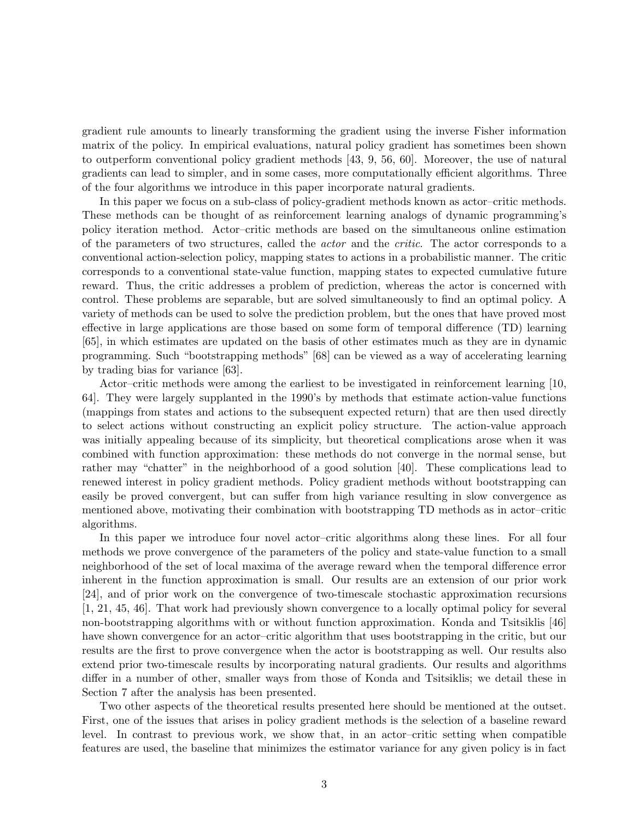gradient rule amounts to linearly transforming the gradient using the inverse Fisher information matrix of the policy. In empirical evaluations, natural policy gradient has sometimes been shown to outperform conventional policy gradient methods [43, 9, 56, 60]. Moreover, the use of natural gradients can lead to simpler, and in some cases, more computationally efficient algorithms. Three of the four algorithms we introduce in this paper incorporate natural gradients.

In this paper we focus on a sub-class of policy-gradient methods known as actor–critic methods. These methods can be thought of as reinforcement learning analogs of dynamic programming's policy iteration method. Actor–critic methods are based on the simultaneous online estimation of the parameters of two structures, called the *actor* and the *critic*. The actor corresponds to a conventional action-selection policy, mapping states to actions in a probabilistic manner. The critic corresponds to a conventional state-value function, mapping states to expected cumulative future reward. Thus, the critic addresses a problem of prediction, whereas the actor is concerned with control. These problems are separable, but are solved simultaneously to find an optimal policy. A variety of methods can be used to solve the prediction problem, but the ones that have proved most effective in large applications are those based on some form of temporal difference (TD) learning [65], in which estimates are updated on the basis of other estimates much as they are in dynamic programming. Such "bootstrapping methods" [68] can be viewed as a way of accelerating learning by trading bias for variance [63].

Actor–critic methods were among the earliest to be investigated in reinforcement learning [10, 64]. They were largely supplanted in the 1990's by methods that estimate action-value functions (mappings from states and actions to the subsequent expected return) that are then used directly to select actions without constructing an explicit policy structure. The action-value approach was initially appealing because of its simplicity, but theoretical complications arose when it was combined with function approximation: these methods do not converge in the normal sense, but rather may "chatter" in the neighborhood of a good solution [40]. These complications lead to renewed interest in policy gradient methods. Policy gradient methods without bootstrapping can easily be proved convergent, but can suffer from high variance resulting in slow convergence as mentioned above, motivating their combination with bootstrapping TD methods as in actor–critic algorithms.

In this paper we introduce four novel actor–critic algorithms along these lines. For all four methods we prove convergence of the parameters of the policy and state-value function to a small neighborhood of the set of local maxima of the average reward when the temporal difference error inherent in the function approximation is small. Our results are an extension of our prior work [24], and of prior work on the convergence of two-timescale stochastic approximation recursions [1, 21, 45, 46]. That work had previously shown convergence to a locally optimal policy for several non-bootstrapping algorithms with or without function approximation. Konda and Tsitsiklis [46] have shown convergence for an actor–critic algorithm that uses bootstrapping in the critic, but our results are the first to prove convergence when the actor is bootstrapping as well. Our results also extend prior two-timescale results by incorporating natural gradients. Our results and algorithms differ in a number of other, smaller ways from those of Konda and Tsitsiklis; we detail these in Section 7 after the analysis has been presented.

Two other aspects of the theoretical results presented here should be mentioned at the outset. First, one of the issues that arises in policy gradient methods is the selection of a baseline reward level. In contrast to previous work, we show that, in an actor–critic setting when compatible features are used, the baseline that minimizes the estimator variance for any given policy is in fact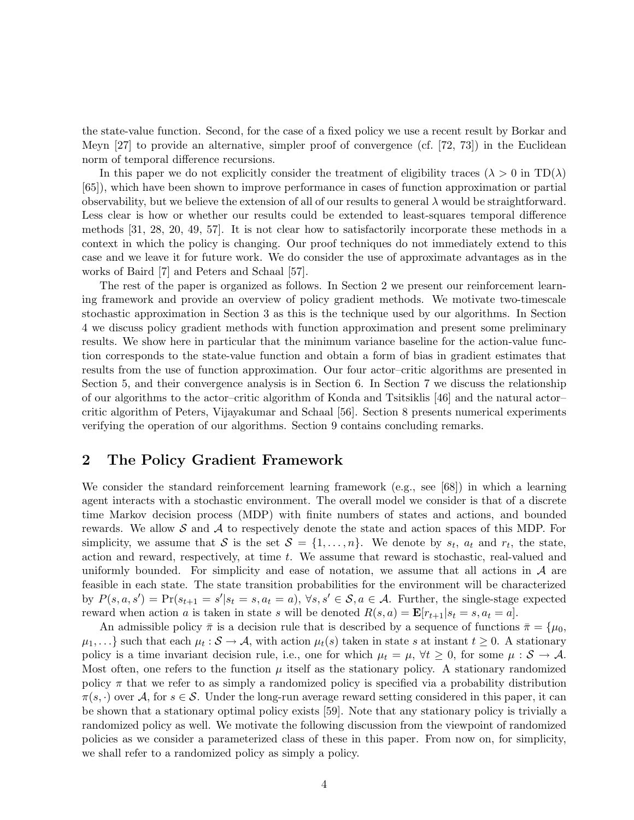the state-value function. Second, for the case of a fixed policy we use a recent result by Borkar and Meyn [27] to provide an alternative, simpler proof of convergence (cf. [72, 73]) in the Euclidean norm of temporal difference recursions.

In this paper we do not explicitly consider the treatment of eligibility traces ( $\lambda > 0$  in TD( $\lambda$ ) [65]), which have been shown to improve performance in cases of function approximation or partial observability, but we believe the extension of all of our results to general  $\lambda$  would be straightforward. Less clear is how or whether our results could be extended to least-squares temporal difference methods [31, 28, 20, 49, 57]. It is not clear how to satisfactorily incorporate these methods in a context in which the policy is changing. Our proof techniques do not immediately extend to this case and we leave it for future work. We do consider the use of approximate advantages as in the works of Baird [7] and Peters and Schaal [57].

The rest of the paper is organized as follows. In Section 2 we present our reinforcement learning framework and provide an overview of policy gradient methods. We motivate two-timescale stochastic approximation in Section 3 as this is the technique used by our algorithms. In Section 4 we discuss policy gradient methods with function approximation and present some preliminary results. We show here in particular that the minimum variance baseline for the action-value function corresponds to the state-value function and obtain a form of bias in gradient estimates that results from the use of function approximation. Our four actor–critic algorithms are presented in Section 5, and their convergence analysis is in Section 6. In Section 7 we discuss the relationship of our algorithms to the actor–critic algorithm of Konda and Tsitsiklis [46] and the natural actor– critic algorithm of Peters, Vijayakumar and Schaal [56]. Section 8 presents numerical experiments verifying the operation of our algorithms. Section 9 contains concluding remarks.

## 2 The Policy Gradient Framework

We consider the standard reinforcement learning framework (e.g., see [68]) in which a learning agent interacts with a stochastic environment. The overall model we consider is that of a discrete time Markov decision process (MDP) with finite numbers of states and actions, and bounded rewards. We allow S and A to respectively denote the state and action spaces of this MDP. For simplicity, we assume that S is the set  $S = \{1, \ldots, n\}$ . We denote by  $s_t$ ,  $a_t$  and  $r_t$ , the state, action and reward, respectively, at time t. We assume that reward is stochastic, real-valued and uniformly bounded. For simplicity and ease of notation, we assume that all actions in  $\mathcal A$  are feasible in each state. The state transition probabilities for the environment will be characterized by  $P(s, a, s') = Pr(s_{t+1} = s' | s_t = s, a_t = a), \forall s, s' \in S, a \in A$ . Further, the single-stage expected reward when action a is taken in state s will be denoted  $R(s, a) = \mathbf{E}[r_{t+1}|s_t = s, a_t = a]$ .

An admissible policy  $\bar{\pi}$  is a decision rule that is described by a sequence of functions  $\bar{\pi} = \{\mu_0, \bar{\mu}_0\}$  $\mu_1, \ldots$ } such that each  $\mu_t : S \to A$ , with action  $\mu_t(s)$  taken in state s at instant  $t \geq 0$ . A stationary policy is a time invariant decision rule, i.e., one for which  $\mu_t = \mu$ ,  $\forall t \geq 0$ , for some  $\mu : \mathcal{S} \to \mathcal{A}$ . Most often, one refers to the function  $\mu$  itself as the stationary policy. A stationary randomized policy  $\pi$  that we refer to as simply a randomized policy is specified via a probability distribution  $\pi(s, \cdot)$  over A, for  $s \in \mathcal{S}$ . Under the long-run average reward setting considered in this paper, it can be shown that a stationary optimal policy exists [59]. Note that any stationary policy is trivially a randomized policy as well. We motivate the following discussion from the viewpoint of randomized policies as we consider a parameterized class of these in this paper. From now on, for simplicity, we shall refer to a randomized policy as simply a policy.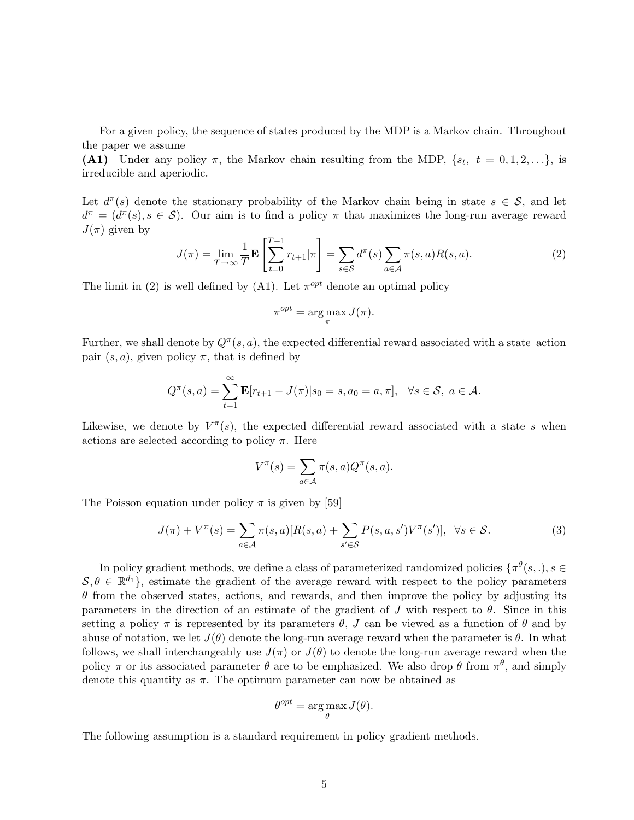For a given policy, the sequence of states produced by the MDP is a Markov chain. Throughout the paper we assume

(A1) Under any policy  $\pi$ , the Markov chain resulting from the MDP,  $\{s_t, t = 0, 1, 2, ...\}$ , is irreducible and aperiodic.

Let  $d^{\pi}(s)$  denote the stationary probability of the Markov chain being in state  $s \in \mathcal{S}$ , and let  $d^{\pi} = (d^{\pi}(s), s \in S)$ . Our aim is to find a policy  $\pi$  that maximizes the long-run average reward  $J(\pi)$  given by

$$
J(\pi) = \lim_{T \to \infty} \frac{1}{T} \mathbf{E} \left[ \sum_{t=0}^{T-1} r_{t+1} | \pi \right] = \sum_{s \in \mathcal{S}} d^{\pi}(s) \sum_{a \in \mathcal{A}} \pi(s, a) R(s, a).
$$
 (2)

The limit in (2) is well defined by (A1). Let  $\pi^{opt}$  denote an optimal policy

$$
\pi^{opt} = \arg\max_{\pi} J(\pi).
$$

Further, we shall denote by  $Q^{\pi}(s, a)$ , the expected differential reward associated with a state–action pair  $(s, a)$ , given policy  $\pi$ , that is defined by

$$
Q^{\pi}(s, a) = \sum_{t=1}^{\infty} \mathbf{E}[r_{t+1} - J(\pi)|s_0 = s, a_0 = a, \pi], \ \ \forall s \in \mathcal{S}, a \in \mathcal{A}.
$$

Likewise, we denote by  $V^{\pi}(s)$ , the expected differential reward associated with a state s when actions are selected according to policy  $\pi$ . Here

$$
V^{\pi}(s) = \sum_{a \in \mathcal{A}} \pi(s, a) Q^{\pi}(s, a).
$$

The Poisson equation under policy  $\pi$  is given by [59]

$$
J(\pi) + V^{\pi}(s) = \sum_{a \in \mathcal{A}} \pi(s, a) [R(s, a) + \sum_{s' \in \mathcal{S}} P(s, a, s') V^{\pi}(s')], \ \ \forall s \in \mathcal{S}.
$$
 (3)

In policy gradient methods, we define a class of parameterized randomized policies  $\{\pi^{\theta}(s,.)\}\$  $S, \theta \in \mathbb{R}^{d_1}$ , estimate the gradient of the average reward with respect to the policy parameters  $\theta$  from the observed states, actions, and rewards, and then improve the policy by adjusting its parameters in the direction of an estimate of the gradient of J with respect to  $\theta$ . Since in this setting a policy  $\pi$  is represented by its parameters  $\theta$ , J can be viewed as a function of  $\theta$  and by abuse of notation, we let  $J(\theta)$  denote the long-run average reward when the parameter is  $\theta$ . In what follows, we shall interchangeably use  $J(\pi)$  or  $J(\theta)$  to denote the long-run average reward when the policy  $\pi$  or its associated parameter  $\theta$  are to be emphasized. We also drop  $\theta$  from  $\pi^{\theta}$ , and simply denote this quantity as  $\pi$ . The optimum parameter can now be obtained as

$$
\theta^{opt} = \arg \max_{\theta} J(\theta).
$$

The following assumption is a standard requirement in policy gradient methods.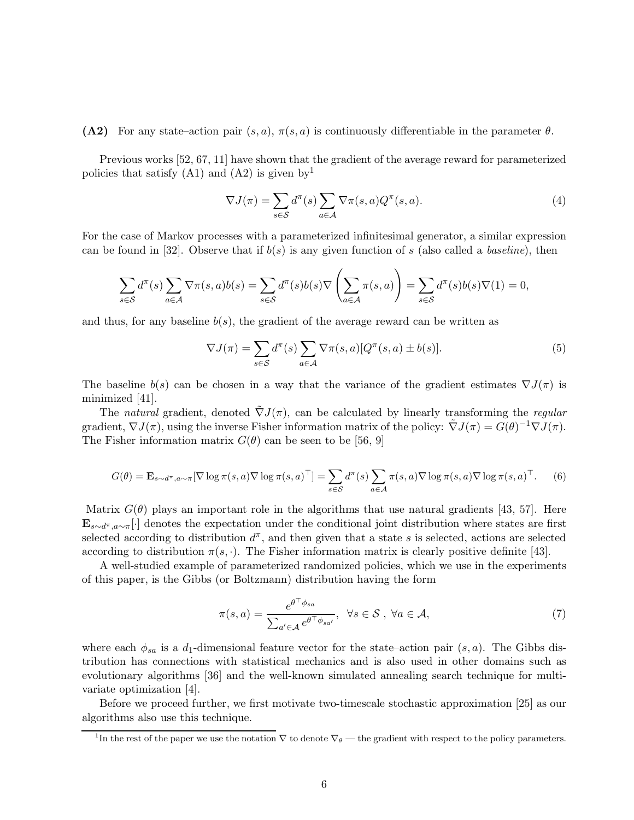(A2) For any state–action pair  $(s, a)$ ,  $\pi(s, a)$  is continuously differentiable in the parameter  $\theta$ .

Previous works [52, 67, 11] have shown that the gradient of the average reward for parameterized policies that satisfy  $(A1)$  and  $(A2)$  is given by<sup>1</sup>

$$
\nabla J(\pi) = \sum_{s \in \mathcal{S}} d^{\pi}(s) \sum_{a \in \mathcal{A}} \nabla \pi(s, a) Q^{\pi}(s, a). \tag{4}
$$

For the case of Markov processes with a parameterized infinitesimal generator, a similar expression can be found in [32]. Observe that if  $b(s)$  is any given function of s (also called a *baseline*), then

$$
\sum_{s \in \mathcal{S}} d^{\pi}(s) \sum_{a \in \mathcal{A}} \nabla \pi(s, a) b(s) = \sum_{s \in \mathcal{S}} d^{\pi}(s) b(s) \nabla \left(\sum_{a \in \mathcal{A}} \pi(s, a)\right) = \sum_{s \in \mathcal{S}} d^{\pi}(s) b(s) \nabla(1) = 0,
$$

and thus, for any baseline  $b(s)$ , the gradient of the average reward can be written as

$$
\nabla J(\pi) = \sum_{s \in \mathcal{S}} d^{\pi}(s) \sum_{a \in \mathcal{A}} \nabla \pi(s, a) [Q^{\pi}(s, a) \pm b(s)]. \tag{5}
$$

The baseline  $b(s)$  can be chosen in a way that the variance of the gradient estimates  $\nabla J(\pi)$  is minimized [41].

The *natural* gradient, denoted  $\tilde{\nabla}J(\pi)$ , can be calculated by linearly transforming the *regular* gradient,  $\nabla J(\pi)$ , using the inverse Fisher information matrix of the policy:  $\tilde{\nabla}J(\pi) = G(\theta)^{-1} \nabla J(\pi)$ . The Fisher information matrix  $G(\theta)$  can be seen to be [56, 9]

$$
G(\theta) = \mathbf{E}_{s \sim d^{\pi}, a \sim \pi} [\nabla \log \pi(s, a) \nabla \log \pi(s, a)^{\top}] = \sum_{s \in \mathcal{S}} d^{\pi}(s) \sum_{a \in \mathcal{A}} \pi(s, a) \nabla \log \pi(s, a) \nabla \log \pi(s, a)^{\top}.
$$
 (6)

Matrix  $G(\theta)$  plays an important role in the algorithms that use natural gradients [43, 57]. Here  $\mathbf{E}_{s\sim d^{\pi},a\sim\pi}[\cdot]$  denotes the expectation under the conditional joint distribution where states are first selected according to distribution  $d^{\pi}$ , and then given that a state s is selected, actions are selected according to distribution  $\pi(s, \cdot)$ . The Fisher information matrix is clearly positive definite [43].

A well-studied example of parameterized randomized policies, which we use in the experiments of this paper, is the Gibbs (or Boltzmann) distribution having the form

$$
\pi(s,a) = \frac{e^{\theta^{\top}\phi_{sa}}}{\sum_{a' \in \mathcal{A}} e^{\theta^{\top}\phi_{sa'}}}, \ \ \forall s \in \mathcal{S}, \ \forall a \in \mathcal{A}, \tag{7}
$$

where each  $\phi_{sa}$  is a d<sub>1</sub>-dimensional feature vector for the state–action pair  $(s, a)$ . The Gibbs distribution has connections with statistical mechanics and is also used in other domains such as evolutionary algorithms [36] and the well-known simulated annealing search technique for multivariate optimization [4].

Before we proceed further, we first motivate two-timescale stochastic approximation [25] as our algorithms also use this technique.

<sup>&</sup>lt;sup>1</sup>In the rest of the paper we use the notation  $\nabla$  to denote  $\nabla_{\theta}$  — the gradient with respect to the policy parameters.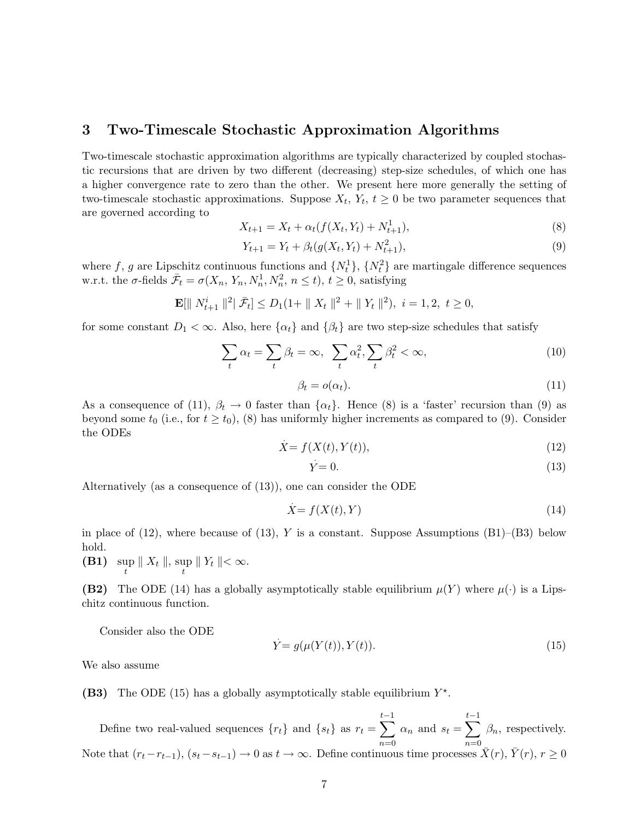## 3 Two-Timescale Stochastic Approximation Algorithms

Two-timescale stochastic approximation algorithms are typically characterized by coupled stochastic recursions that are driven by two different (decreasing) step-size schedules, of which one has a higher convergence rate to zero than the other. We present here more generally the setting of two-timescale stochastic approximations. Suppose  $X_t$ ,  $Y_t$ ,  $t \geq 0$  be two parameter sequences that are governed according to

$$
X_{t+1} = X_t + \alpha_t (f(X_t, Y_t) + N_{t+1}^1),
$$
\n(8)

$$
Y_{t+1} = Y_t + \beta_t (g(X_t, Y_t) + N_{t+1}^2), \tag{9}
$$

where f, g are Lipschitz continuous functions and  $\{N_t^1\}$ ,  $\{N_t^2\}$  are martingale difference sequences w.r.t. the  $\sigma$ -fields  $\bar{\mathcal{F}}_t = \sigma(X_n, Y_n, N_n^1, N_n^2, n \le t)$ ,  $t \ge 0$ , satisfying

$$
\mathbf{E}[\| N_{t+1}^i \|^{2} | \bar{\mathcal{F}}_t] \le D_1(1 + \| X_t \|^{2} + \| Y_t \|^{2}), \ i = 1, 2, \ t \ge 0,
$$

for some constant  $D_1 < \infty$ . Also, here  $\{\alpha_t\}$  and  $\{\beta_t\}$  are two step-size schedules that satisfy

$$
\sum_{t} \alpha_t = \sum_{t} \beta_t = \infty, \ \sum_{t} \alpha_t^2, \sum_{t} \beta_t^2 < \infty,\tag{10}
$$

$$
\beta_t = o(\alpha_t). \tag{11}
$$

As a consequence of (11),  $\beta_t \to 0$  faster than  $\{\alpha_t\}$ . Hence (8) is a 'faster' recursion than (9) as beyond some  $t_0$  (i.e., for  $t \geq t_0$ ), (8) has uniformly higher increments as compared to (9). Consider the ODEs .

$$
X = f(X(t), Y(t)),\tag{12}
$$

$$
Y = 0.\t(13)
$$

Alternatively (as a consequence of (13)), one can consider the ODE

$$
\dot{X} = f(X(t), Y) \tag{14}
$$

in place of (12), where because of (13), Y is a constant. Suppose Assumptions  $(B1)$ – $(B3)$  below hold.

(B1) sup  $\sup_t \|X_t\|, \sup_t \|Y_t\| < \infty.$ 

**(B2)** The ODE (14) has a globally asymptotically stable equilibrium  $\mu(Y)$  where  $\mu(\cdot)$  is a Lipschitz continuous function.

Consider also the ODE .

$$
Y = g(\mu(Y(t)), Y(t)).
$$
\n
$$
(15)
$$

We also assume

(B3) The ODE (15) has a globally asymptotically stable equilibrium  $Y^*$ .

Define two real-valued sequences  $\{r_t\}$  and  $\{s_t\}$  as  $r_t = \sum_{t=1}^{t-1}$  $n=0$  $\alpha_n$  and  $s_t = \sum_{ }^{t-1}$  $n=0$  $\beta_n$ , respectively. Note that  $(r_t-r_{t-1}), (s_t-s_{t-1})\to 0$  as  $t\to\infty$ . Define continuous time processes  $\bar{X}(r), \bar{Y}(r), r\geq 0$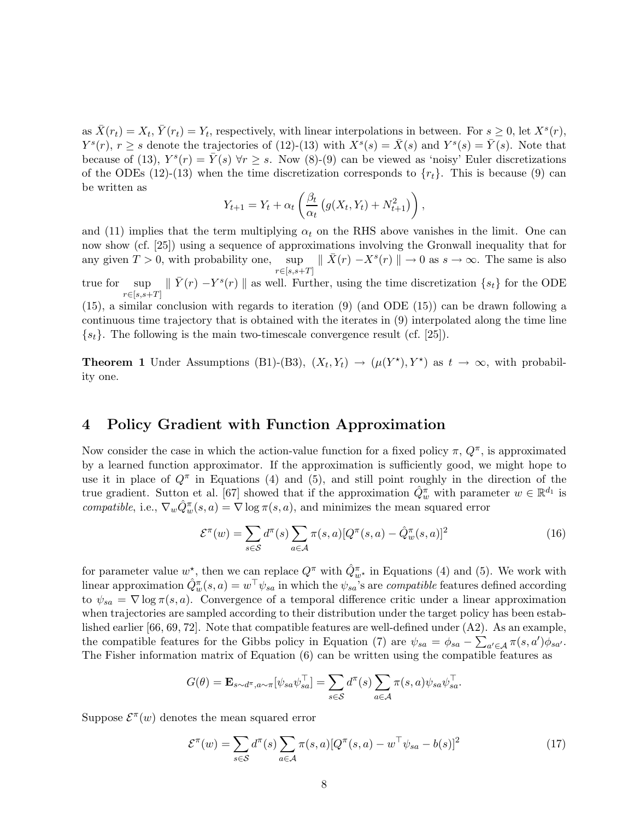as  $\bar{X}(r_t) = X_t$ ,  $\bar{Y}(r_t) = Y_t$ , respectively, with linear interpolations in between. For  $s \geq 0$ , let  $X^s(r)$ ,  $Y^{s}(r), r \geq s$  denote the trajectories of (12)-(13) with  $X^{s}(s) = \overline{X}(s)$  and  $Y^{s}(s) = \overline{Y}(s)$ . Note that because of (13),  $Y^s(r) = \overline{Y}(s)$   $\forall r \geq s$ . Now (8)-(9) can be viewed as 'noisy' Euler discretizations of the ODEs (12)-(13) when the time discretization corresponds to  $\{r_t\}$ . This is because (9) can be written as

$$
Y_{t+1} = Y_t + \alpha_t \left( \frac{\beta_t}{\alpha_t} \left( g(X_t, Y_t) + N_{t+1}^2 \right) \right),
$$

and (11) implies that the term multiplying  $\alpha_t$  on the RHS above vanishes in the limit. One can now show (cf. [25]) using a sequence of approximations involving the Gronwall inequality that for any given  $T > 0$ , with probability one, sup  $\|\bar{X}(r) - X^{s}(r)\| \to 0$  as  $s \to \infty$ . The same is also  $r \in [s,s+T]$ 

true for sup  $r \in [s,s+T]$  $\|\bar{Y}(r) - Y^s(r)\|$  as well. Further, using the time discretization  $\{s_t\}$  for the ODE

(15), a similar conclusion with regards to iteration (9) (and ODE (15)) can be drawn following a continuous time trajectory that is obtained with the iterates in (9) interpolated along the time line  $\{s_t\}$ . The following is the main two-timescale convergence result (cf. [25]).

**Theorem 1** Under Assumptions (B1)-(B3),  $(X_t, Y_t) \rightarrow (\mu(Y^*) , Y^*)$  as  $t \rightarrow \infty$ , with probability one.

## 4 Policy Gradient with Function Approximation

Now consider the case in which the action-value function for a fixed policy  $\pi$ ,  $Q^{\pi}$ , is approximated by a learned function approximator. If the approximation is sufficiently good, we might hope to use it in place of  $Q^{\pi}$  in Equations (4) and (5), and still point roughly in the direction of the true gradient. Sutton et al. [67] showed that if the approximation  $\hat{Q}_w^{\pi}$  with parameter  $w \in \mathbb{R}^{d_1}$  is *compatible*, i.e.,  $\nabla_w \hat{Q}_w^{\pi}(s, a) = \nabla \log \pi(s, a)$ , and minimizes the mean squared error

$$
\mathcal{E}^{\pi}(w) = \sum_{s \in \mathcal{S}} d^{\pi}(s) \sum_{a \in \mathcal{A}} \pi(s, a) [Q^{\pi}(s, a) - \hat{Q}_w^{\pi}(s, a)]^2
$$
\n(16)

for parameter value  $w_{\lambda}^*$ , then we can replace  $Q^{\pi}$  with  $\hat{Q}_{w^*}^{\pi}$  in Equations (4) and (5). We work with linear approximation  $\hat{Q}_w^{\pi}(s, a) = w^{\top} \psi_{sa}$  in which the  $\psi_{sa}$ 's are *compatible* features defined according to  $\psi_{sa} = \nabla \log \pi(s, a)$ . Convergence of a temporal difference critic under a linear approximation when trajectories are sampled according to their distribution under the target policy has been established earlier [66, 69, 72]. Note that compatible features are well-defined under (A2). As an example, the compatible features for the Gibbs policy in Equation (7) are  $\psi_{sa} = \phi_{sa} - \sum_{a' \in A} \pi(s, a') \phi_{sa'}$ . The Fisher information matrix of Equation (6) can be written using the compatible features as

$$
G(\theta) = \mathbf{E}_{s \sim d^{\pi}, a \sim \pi} [\psi_{sa} \psi_{sa}^{\top}] = \sum_{s \in S} d^{\pi}(s) \sum_{a \in \mathcal{A}} \pi(s, a) \psi_{sa} \psi_{sa}^{\top}.
$$

Suppose  $\mathcal{E}^{\pi}(w)$  denotes the mean squared error

$$
\mathcal{E}^{\pi}(w) = \sum_{s \in \mathcal{S}} d^{\pi}(s) \sum_{a \in \mathcal{A}} \pi(s, a) [Q^{\pi}(s, a) - w^{\top} \psi_{sa} - b(s)]^2
$$
\n(17)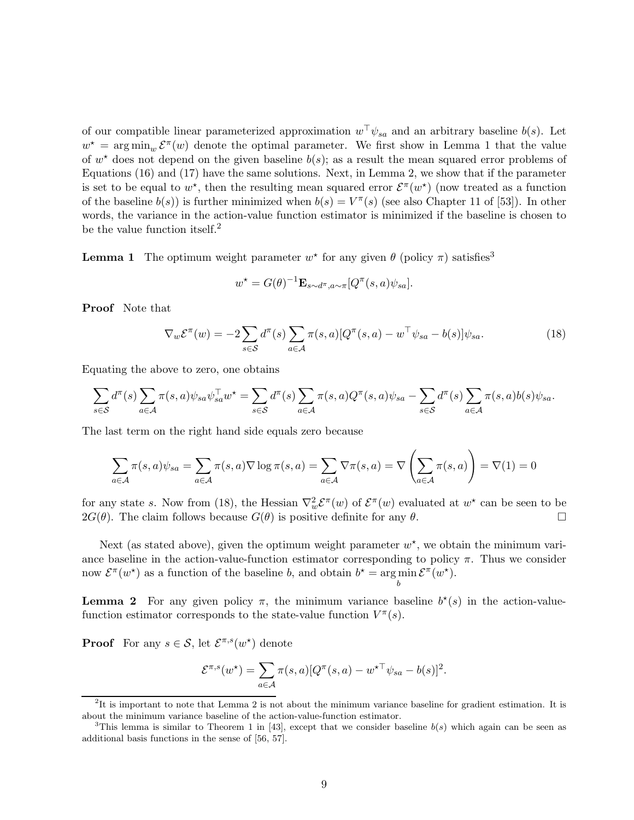of our compatible linear parameterized approximation  $w^{\top}\psi_{sa}$  and an arbitrary baseline  $b(s)$ . Let  $w^* = \arg\min_w \mathcal{E}^{\pi}(w)$  denote the optimal parameter. We first show in Lemma 1 that the value of  $w^*$  does not depend on the given baseline  $b(s)$ ; as a result the mean squared error problems of Equations (16) and (17) have the same solutions. Next, in Lemma 2, we show that if the parameter is set to be equal to  $w^*$ , then the resulting mean squared error  $\mathcal{E}^{\pi}(w^*)$  (now treated as a function of the baseline  $b(s)$  is further minimized when  $b(s) = V^{\pi}(s)$  (see also Chapter 11 of [53]). In other words, the variance in the action-value function estimator is minimized if the baseline is chosen to be the value function itself.<sup>2</sup>

**Lemma 1** The optimum weight parameter  $w^*$  for any given  $\theta$  (policy  $\pi$ ) satisfies<sup>3</sup>

$$
w^* = G(\theta)^{-1} \mathbf{E}_{s \sim d^{\pi}, a \sim \pi} [Q^{\pi}(s, a) \psi_{sa}].
$$

Proof Note that

$$
\nabla_w \mathcal{E}^\pi(w) = -2 \sum_{s \in \mathcal{S}} d^\pi(s) \sum_{a \in \mathcal{A}} \pi(s, a) [Q^\pi(s, a) - w^\top \psi_{sa} - b(s)] \psi_{sa}.
$$
\n(18)

Equating the above to zero, one obtains

$$
\sum_{s \in \mathcal{S}} d^{\pi}(s) \sum_{a \in \mathcal{A}} \pi(s, a) \psi_{sa} \psi_{sa}^{\top} w^{\star} = \sum_{s \in \mathcal{S}} d^{\pi}(s) \sum_{a \in \mathcal{A}} \pi(s, a) Q^{\pi}(s, a) \psi_{sa} - \sum_{s \in \mathcal{S}} d^{\pi}(s) \sum_{a \in \mathcal{A}} \pi(s, a) b(s) \psi_{sa}.
$$

The last term on the right hand side equals zero because

$$
\sum_{a \in \mathcal{A}} \pi(s, a)\psi_{sa} = \sum_{a \in \mathcal{A}} \pi(s, a) \nabla \log \pi(s, a) = \sum_{a \in \mathcal{A}} \nabla \pi(s, a) = \nabla \left(\sum_{a \in \mathcal{A}} \pi(s, a)\right) = \nabla(1) = 0
$$

for any state s. Now from (18), the Hessian  $\nabla_w^2 \mathcal{E}^\pi(w)$  of  $\mathcal{E}^\pi(w)$  evaluated at  $w^\star$  can be seen to be  $2G(\theta)$ . The claim follows because  $G(\theta)$  is positive definite for any  $\theta$ .

Next (as stated above), given the optimum weight parameter  $w^*$ , we obtain the minimum variance baseline in the action-value-function estimator corresponding to policy  $\pi$ . Thus we consider now  $\mathcal{E}^{\pi}(w^*)$  as a function of the baseline b, and obtain  $b^* = \arg \min \mathcal{E}^{\pi}(w^*)$ . b

**Lemma 2** For any given policy  $\pi$ , the minimum variance baseline  $b^*(s)$  in the action-valuefunction estimator corresponds to the state-value function  $V^{\pi}(s)$ .

**Proof** For any  $s \in \mathcal{S}$ , let  $\mathcal{E}^{\pi,s}(w^*)$  denote

$$
\mathcal{E}^{\pi,s}(w^\star) = \sum_{a \in \mathcal{A}} \pi(s,a) [Q^\pi(s,a) - w^{\star \top} \psi_{sa} - b(s)]^2.
$$

<sup>&</sup>lt;sup>2</sup>It is important to note that Lemma 2 is not about the minimum variance baseline for gradient estimation. It is about the minimum variance baseline of the action-value-function estimator.

<sup>&</sup>lt;sup>3</sup>This lemma is similar to Theorem 1 in [43], except that we consider baseline  $b(s)$  which again can be seen as additional basis functions in the sense of [56, 57].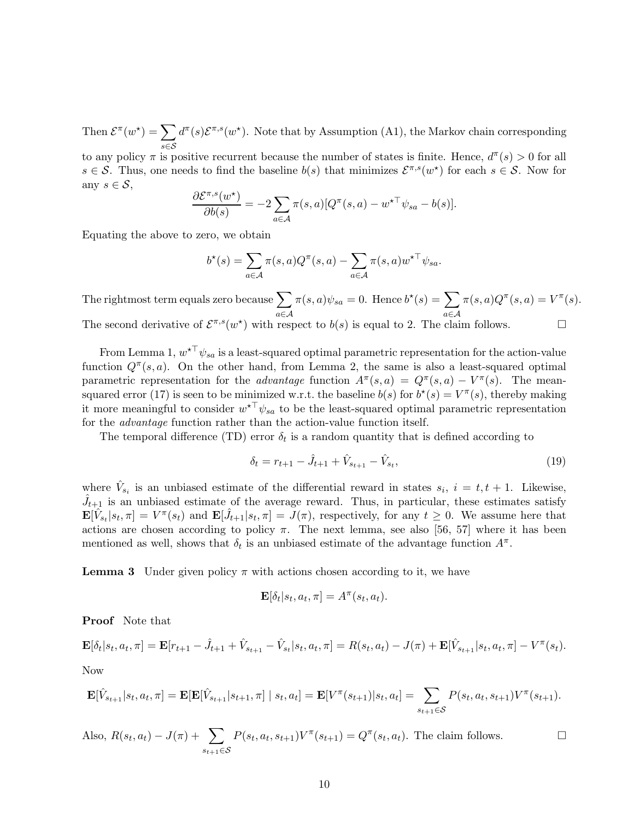Then  $\mathcal{E}^{\pi}(w^*) = \sum$ s∈S  $d^{\pi}(s) \mathcal{E}^{\pi,s}(w^*)$ . Note that by Assumption (A1), the Markov chain corresponding

to any policy  $\pi$  is positive recurrent because the number of states is finite. Hence,  $d^{\pi}(s) > 0$  for all  $s \in \mathcal{S}$ . Thus, one needs to find the baseline  $b(s)$  that minimizes  $\mathcal{E}^{\pi,s}(w^*)$  for each  $s \in \mathcal{S}$ . Now for any  $s \in \mathcal{S}$ ,

$$
\frac{\partial \mathcal{E}^{\pi,s}(w^*)}{\partial b(s)} = -2 \sum_{a \in \mathcal{A}} \pi(s,a) [Q^{\pi}(s,a) - w^{\star \top} \psi_{sa} - b(s)].
$$

Equating the above to zero, we obtain

$$
b^{\star}(s) = \sum_{a \in \mathcal{A}} \pi(s, a) Q^{\pi}(s, a) - \sum_{a \in \mathcal{A}} \pi(s, a) w^{\star \top} \psi_{sa}.
$$

The rightmost term equals zero because  $\sum$ a∈A  $\pi(s,a)\psi_{sa} = 0.$  Hence  $b^*(s) = \sum$ a∈A  $\pi(s,a)Q^{\pi}(s,a) = V^{\pi}(s).$ The second derivative of  $\mathcal{E}^{\pi,s}(w^*)$  with respect to  $b(s)$  is equal to 2. The claim follows.

From Lemma 1,  $w^{\star\top}\psi_{sa}$  is a least-squared optimal parametric representation for the action-value function  $Q^{\pi}(s, a)$ . On the other hand, from Lemma 2, the same is also a least-squared optimal parametric representation for the *advantage* function  $A^{\pi}(s, a) = Q^{\pi}(s, a) - V^{\pi}(s)$ . The meansquared error (17) is seen to be minimized w.r.t. the baseline  $b(s)$  for  $b^*(s) = V^{\pi}(s)$ , thereby making it more meaningful to consider  $w^{\star \top} \psi_{sa}$  to be the least-squared optimal parametric representation for the *advantage* function rather than the action-value function itself.

The temporal difference (TD) error  $\delta_t$  is a random quantity that is defined according to

$$
\delta_t = r_{t+1} - \hat{J}_{t+1} + \hat{V}_{s_{t+1}} - \hat{V}_{s_t},\tag{19}
$$

where  $\hat{V}_{s_i}$  is an unbiased estimate of the differential reward in states  $s_i$ ,  $i = t, t + 1$ . Likewise,  $\hat{J}_{t+1}$  is an unbiased estimate of the average reward. Thus, in particular, these estimates satisfy  $\mathbf{E}[\hat{V}_{s_t}|s_t, \pi] = V^{\pi}(s_t)$  and  $\mathbf{E}[\hat{J}_{t+1}|s_t, \pi] = J(\pi)$ , respectively, for any  $t \geq 0$ . We assume here that actions are chosen according to policy  $\pi$ . The next lemma, see also [56, 57] where it has been mentioned as well, shows that  $\delta_t$  is an unbiased estimate of the advantage function  $A^{\pi}$ .

**Lemma 3** Under given policy  $\pi$  with actions chosen according to it, we have

$$
\mathbf{E}[\delta_t|s_t,a_t,\pi]=A^\pi(s_t,a_t).
$$

Proof Note that

$$
\mathbf{E}[\delta_t|s_t, a_t, \pi] = \mathbf{E}[r_{t+1} - \hat{J}_{t+1} + \hat{V}_{s_{t+1}} - \hat{V}_{s_t}|s_t, a_t, \pi] = R(s_t, a_t) - J(\pi) + \mathbf{E}[\hat{V}_{s_{t+1}}|s_t, a_t, \pi] - V^{\pi}(s_t).
$$

Now

$$
\mathbf{E}[\hat{V}_{s_{t+1}}|s_t, a_t, \pi] = \mathbf{E}[\mathbf{E}[\hat{V}_{s_{t+1}}|s_{t+1}, \pi] \mid s_t, a_t] = \mathbf{E}[V^{\pi}(s_{t+1})|s_t, a_t] = \sum_{s_{t+1} \in \mathcal{S}} P(s_t, a_t, s_{t+1}) V^{\pi}(s_{t+1}).
$$

Also, 
$$
R(s_t, a_t) - J(\pi) + \sum_{s_{t+1} \in S} P(s_t, a_t, s_{t+1}) V^{\pi}(s_{t+1}) = Q^{\pi}(s_t, a_t)
$$
. The claim follows.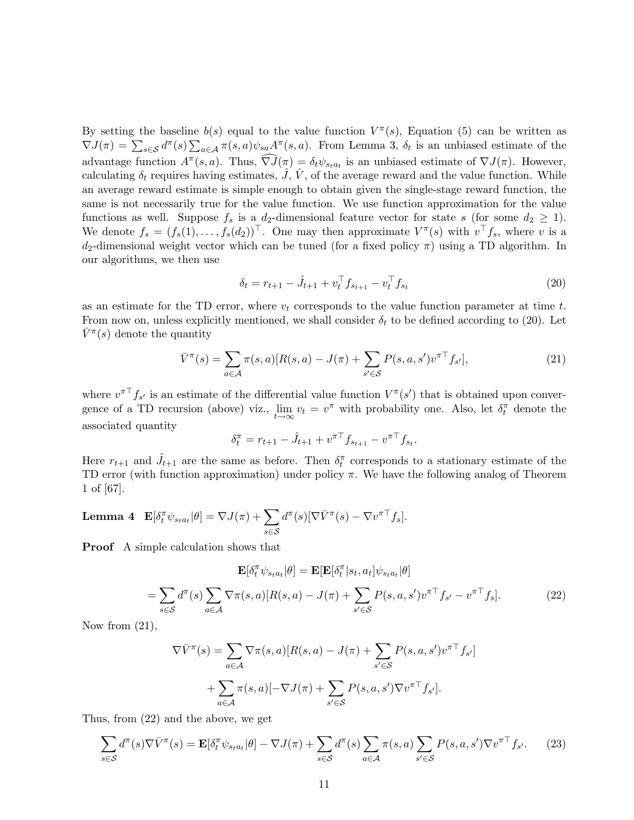By setting the baseline  $b(s)$  equal to the value function  $V^{\pi}(s)$ , Equation (5) can be written as  $\nabla J(\pi) = \sum_{s \in \mathcal{S}} d^{\pi}(s) \sum_{a \in \mathcal{A}} \pi(s, a) \psi_{sa} A^{\pi}(s, a)$ . From Lemma 3,  $\delta_t$  is an unbiased estimate of the advantage function  $A^{\pi}(s, a)$ . Thus,  $\nabla \overline{J}(\pi) = \delta_t \psi_{s_t a_t}$  is an unbiased estimate of  $\nabla J(\pi)$ . However, calculating  $\delta_t$  requires having estimates,  $J, V,$  of the average reward and the value function. While an average reward estimate is simple enough to obtain given the single-stage reward function, the same is not necessarily true for the value function. We use function approximation for the value functions as well. Suppose  $f_s$  is a  $d_2$ -dimensional feature vector for state s (for some  $d_2 \geq 1$ ). We denote  $f_s = (f_s(1), \ldots, f_s(d_2))^{\top}$ . One may then approximate  $V^{\pi}(s)$  with  $v^{\top} f_s$ , where v is a d<sub>2</sub>-dimensional weight vector which can be tuned (for a fixed policy  $\pi$ ) using a TD algorithm. In our algorithms, we then use

$$
\delta_t = r_{t+1} - \hat{J}_{t+1} + v_t^\top f_{s_{t+1}} - v_t^\top f_{s_t} \tag{20}
$$

as an estimate for the TD error, where  $v_t$  corresponds to the value function parameter at time  $t$ . From now on, unless explicitly mentioned, we shall consider  $\delta_t$  to be defined according to (20). Let  $\bar{V}^{\pi}(s)$  denote the quantity

$$
\bar{V}^{\pi}(s) = \sum_{a \in \mathcal{A}} \pi(s, a) [R(s, a) - J(\pi) + \sum_{s' \in \mathcal{S}} P(s, a, s') v^{\pi \top} f_{s'}],
$$
\n(21)

where  $v^{\pi}$ <sup>T</sup> $f_{s'}$  is an estimate of the differential value function  $V^{\pi}(s')$  that is obtained upon convergence of a TD recursion (above) viz.,  $\lim_{t\to\infty} v_t = v^{\pi}$  with probability one. Also, let  $\delta_t^{\pi}$  denote the associated quantity

$$
\delta_t^{\pi} = r_{t+1} - \hat{J}_{t+1} + v^{\pi \top} f_{s_{t+1}} - v^{\pi \top} f_{s_t}.
$$

Here  $r_{t+1}$  and  $\hat{J}_{t+1}$  are the same as before. Then  $\delta_t^{\pi}$  corresponds to a stationary estimate of the TD error (with function approximation) under policy  $\pi$ . We have the following analog of Theorem 1 of [67].

**Lemma 4** 
$$
\mathbf{E}[\delta_t^{\pi} \psi_{s_t a_t} | \theta] = \nabla J(\pi) + \sum_{s \in \mathcal{S}} d^{\pi}(s) [\nabla \bar{V}^{\pi}(s) - \nabla v^{\pi \top} f_s].
$$

Proof A simple calculation shows that

$$
\mathbf{E}[\delta_t^{\pi} \psi_{sta_t} | \theta] = \mathbf{E}[\mathbf{E}[\delta_t^{\pi} | s_t, a_t] \psi_{sta_t} | \theta]
$$

$$
= \sum_{s \in \mathcal{S}} d^{\pi}(s) \sum_{a \in \mathcal{A}} \nabla_{\pi}(s, a) [R(s, a) - J(\pi) + \sum_{s' \in \mathcal{S}} P(s, a, s') v^{\pi \top} f_{s'} - v^{\pi \top} f_s]. \tag{22}
$$

Now from  $(21)$ ,

$$
\nabla \bar{V}^{\pi}(s) = \sum_{a \in \mathcal{A}} \nabla \pi(s, a) [R(s, a) - J(\pi) + \sum_{s' \in \mathcal{S}} P(s, a, s') v^{\pi \top} f_{s'}]
$$

$$
+ \sum_{a \in \mathcal{A}} \pi(s, a) [-\nabla J(\pi) + \sum_{s' \in \mathcal{S}} P(s, a, s') \nabla v^{\pi \top} f_{s'}].
$$

Thus, from (22) and the above, we get

$$
\sum_{s \in \mathcal{S}} d^{\pi}(s) \nabla \bar{V}^{\pi}(s) = \mathbf{E}[\delta_t^{\pi} \psi_{s_t a_t} | \theta] - \nabla J(\pi) + \sum_{s \in \mathcal{S}} d^{\pi}(s) \sum_{a \in \mathcal{A}} \pi(s, a) \sum_{s' \in \mathcal{S}} P(s, a, s') \nabla v^{\pi \top} f_{s'}.
$$
 (23)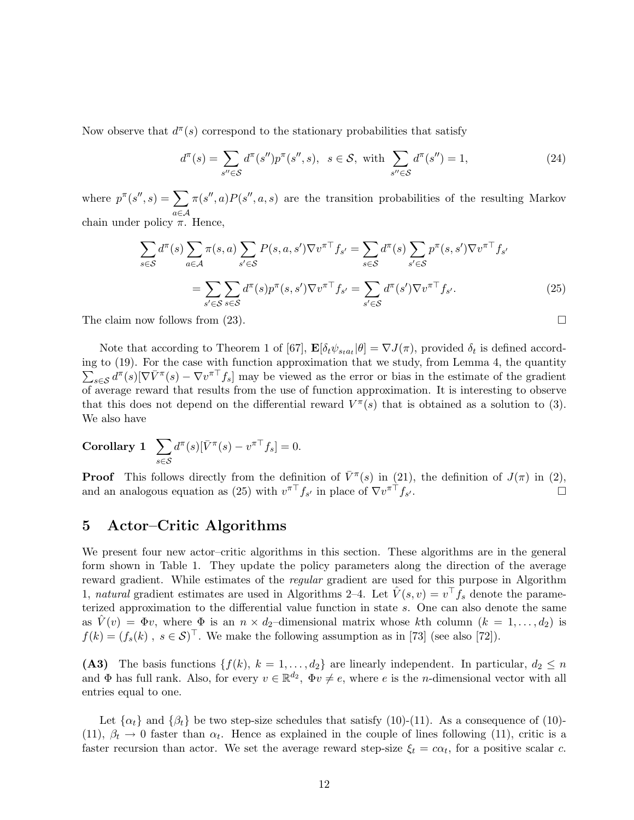Now observe that  $d^{\pi}(s)$  correspond to the stationary probabilities that satisfy

$$
d^{\pi}(s) = \sum_{s'' \in \mathcal{S}} d^{\pi}(s'') p^{\pi}(s'', s), \ \ s \in \mathcal{S}, \ \text{with} \ \sum_{s'' \in \mathcal{S}} d^{\pi}(s'') = 1,
$$
 (24)

where  $p^{\pi}(s'',s) = \sum$ a∈A  $\pi(s'',a)P(s'',a,s)$  are the transition probabilities of the resulting Markov chain under policy  $\pi$ . Hence,

$$
\sum_{s \in S} d^{\pi}(s) \sum_{a \in A} \pi(s, a) \sum_{s' \in S} P(s, a, s') \nabla v^{\pi \top} f_{s'} = \sum_{s \in S} d^{\pi}(s) \sum_{s' \in S} p^{\pi}(s, s') \nabla v^{\pi \top} f_{s'}
$$
\n
$$
= \sum_{s' \in S} \sum_{s \in S} d^{\pi}(s) p^{\pi}(s, s') \nabla v^{\pi \top} f_{s'} = \sum_{s' \in S} d^{\pi}(s') \nabla v^{\pi \top} f_{s'}.
$$
\n(25)

The claim now follows from  $(23)$ .

Note that according to Theorem 1 of [67],  $\mathbf{E}[\delta_t \psi_{s_t a_t} | \theta] = \nabla J(\pi)$ , provided  $\delta_t$  is defined according to (19). For the case with function approximation that we study, from Lemma 4, the quantity  $\sum_{s\in\mathcal{S}} d^{\pi}(s) [\nabla \bar{V}^{\pi}(s) - \nabla v^{\pi \top} f_s]$  may be viewed as the error or bias in the estimate of the gradient of average reward that results from the use of function approximation. It is interesting to observe that this does not depend on the differential reward  $V^{\pi}(s)$  that is obtained as a solution to (3). We also have

#### Corollary 1  $\sum$ s∈S  $d^{\pi}(s)[\bar{V}^{\pi}(s) - v^{\pi \top} f_s] = 0.$

**Proof** This follows directly from the definition of  $\bar{V}^{\pi}(s)$  in (21), the definition of  $J(\pi)$  in (2), and an analogous equation as (25) with  $v^{\pi\top} f_{s'}$  in place of  $\nabla v^{\pi\top} f_s$  $\overline{\phantom{a}}$ 

## 5 Actor–Critic Algorithms

We present four new actor–critic algorithms in this section. These algorithms are in the general form shown in Table 1. They update the policy parameters along the direction of the average reward gradient. While estimates of the *regular* gradient are used for this purpose in Algorithm 1, *natural* gradient estimates are used in Algorithms 2–4. Let  $\hat{V}(s, v) = v^{\top} f_s$  denote the parameterized approximation to the differential value function in state s. One can also denote the same as  $V(v) = \Phi v$ , where  $\Phi$  is an  $n \times d_2$ -dimensional matrix whose kth column  $(k = 1, \ldots, d_2)$  is  $f(k) = (f_s(k), s \in S)^{\top}$ . We make the following assumption as in [73] (see also [72]).

(A3) The basis functions  $\{f(k), k = 1, \ldots, d_2\}$  are linearly independent. In particular,  $d_2 \leq n$ and  $\Phi$  has full rank. Also, for every  $v \in \mathbb{R}^{d_2}$ ,  $\Phi v \neq e$ , where e is the *n*-dimensional vector with all entries equal to one.

Let  $\{\alpha_t\}$  and  $\{\beta_t\}$  be two step-size schedules that satisfy (10)-(11). As a consequence of (10)-(11),  $\beta_t \to 0$  faster than  $\alpha_t$ . Hence as explained in the couple of lines following (11), critic is a faster recursion than actor. We set the average reward step-size  $\xi_t = c\alpha_t$ , for a positive scalar c.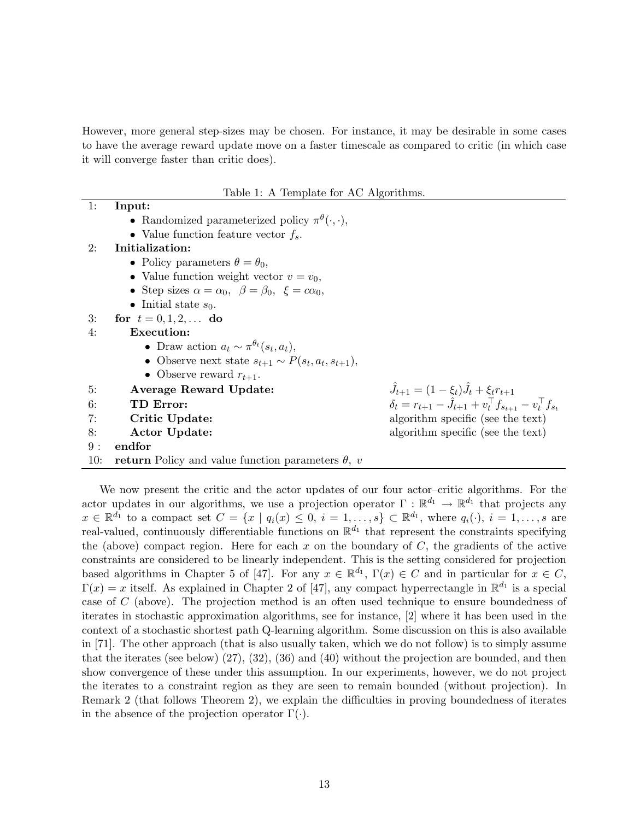However, more general step-sizes may be chosen. For instance, it may be desirable in some cases to have the average reward update move on a faster timescale as compared to critic (in which case it will converge faster than critic does).

Table 1: A Template for AC Algorithms.

| 1:  | Input:                                                                     |                                                                                |
|-----|----------------------------------------------------------------------------|--------------------------------------------------------------------------------|
|     | • Randomized parameterized policy $\pi^{\theta}(\cdot,\cdot),$             |                                                                                |
|     | • Value function feature vector $f_s$ .                                    |                                                                                |
| 2:  | Initialization:                                                            |                                                                                |
|     | • Policy parameters $\theta = \theta_0$ ,                                  |                                                                                |
|     | • Value function weight vector $v = v_0$ ,                                 |                                                                                |
|     | • Step sizes $\alpha = \alpha_0$ , $\beta = \beta_0$ , $\xi = c\alpha_0$ , |                                                                                |
|     | • Initial state $s_0$ .                                                    |                                                                                |
| 3:  | for $t = 0, 1, 2, $ do                                                     |                                                                                |
| 4:  | Execution:                                                                 |                                                                                |
|     | • Draw action $a_t \sim \pi^{\theta_t}(s_t, a_t)$ ,                        |                                                                                |
|     | • Observe next state $s_{t+1} \sim P(s_t, a_t, s_{t+1}),$                  |                                                                                |
|     | • Observe reward $r_{t+1}$ .                                               |                                                                                |
| 5:  | Average Reward Update:                                                     | $\hat{J}_{t+1} = (1 - \xi_t)\hat{J}_t + \xi_t r_{t+1}$                         |
| 6:  | TD Error:                                                                  | $\delta_t = r_{t+1} - \hat{J}_{t+1} + v_t^\top f_{s_{t+1}} - v_t^\top f_{s_t}$ |
| 7:  | Critic Update:                                                             | algorithm specific (see the text)                                              |
| 8:  | Actor Update:                                                              | algorithm specific (see the text)                                              |
| 9:  | endfor                                                                     |                                                                                |
| 10: | <b>return</b> Policy and value function parameters $\theta$ , v            |                                                                                |
|     |                                                                            |                                                                                |

We now present the critic and the actor updates of our four actor–critic algorithms. For the actor updates in our algorithms, we use a projection operator  $\Gamma : \mathbb{R}^{d_1} \to \mathbb{R}^{d_1}$  that projects any  $x \in \mathbb{R}^{d_1}$  to a compact set  $C = \{x \mid q_i(x) \leq 0, i = 1,\ldots,s\} \subset \mathbb{R}^{d_1}$ , where  $q_i(\cdot), i = 1,\ldots,s$  are real-valued, continuously differentiable functions on  $\mathbb{R}^{d_1}$  that represent the constraints specifying the (above) compact region. Here for each  $x$  on the boundary of  $C$ , the gradients of the active constraints are considered to be linearly independent. This is the setting considered for projection based algorithms in Chapter 5 of [47]. For any  $x \in \mathbb{R}^{d_1}$ ,  $\Gamma(x) \in C$  and in particular for  $x \in C$ ,  $\Gamma(x) = x$  itself. As explained in Chapter 2 of [47], any compact hyperrectangle in  $\mathbb{R}^{d_1}$  is a special case of C (above). The projection method is an often used technique to ensure boundedness of iterates in stochastic approximation algorithms, see for instance, [2] where it has been used in the context of a stochastic shortest path Q-learning algorithm. Some discussion on this is also available in [71]. The other approach (that is also usually taken, which we do not follow) is to simply assume that the iterates (see below) (27), (32), (36) and (40) without the projection are bounded, and then show convergence of these under this assumption. In our experiments, however, we do not project the iterates to a constraint region as they are seen to remain bounded (without projection). In Remark 2 (that follows Theorem 2), we explain the difficulties in proving boundedness of iterates in the absence of the projection operator  $\Gamma(\cdot)$ .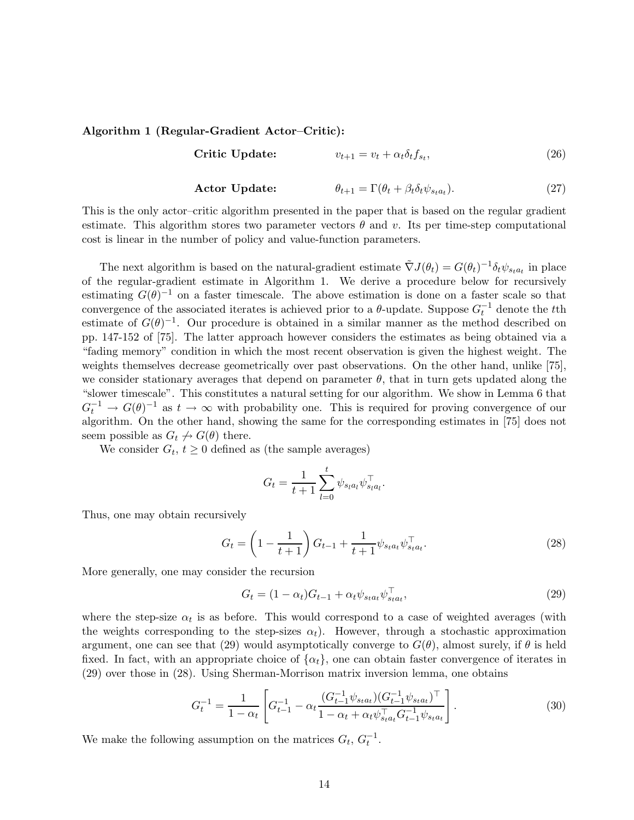#### Algorithm 1 (Regular-Gradient Actor–Critic):

$$
\textbf{Critic Update:} \qquad \qquad v_{t+1} = v_t + \alpha_t \delta_t f_{s_t}, \tag{26}
$$

**Actor Update:** 
$$
\theta_{t+1} = \Gamma(\theta_t + \beta_t \delta_t \psi_{s_t a_t}). \tag{27}
$$

This is the only actor–critic algorithm presented in the paper that is based on the regular gradient estimate. This algorithm stores two parameter vectors  $\theta$  and v. Its per time-step computational cost is linear in the number of policy and value-function parameters.

The next algorithm is based on the natural-gradient estimate  $\tilde{\nabla}J(\theta_t) = G(\theta_t)^{-1} \delta_t \psi_{s_t a_t}$  in place of the regular-gradient estimate in Algorithm 1. We derive a procedure below for recursively estimating  $G(\theta)^{-1}$  on a faster timescale. The above estimation is done on a faster scale so that convergence of the associated iterates is achieved prior to a  $\theta$ -update. Suppose  $G_t^{-1}$  denote the tth estimate of  $G(\theta)^{-1}$ . Our procedure is obtained in a similar manner as the method described on pp. 147-152 of [75]. The latter approach however considers the estimates as being obtained via a "fading memory" condition in which the most recent observation is given the highest weight. The weights themselves decrease geometrically over past observations. On the other hand, unlike [75], we consider stationary averages that depend on parameter  $\theta$ , that in turn gets updated along the "slower timescale". This constitutes a natural setting for our algorithm. We show in Lemma 6 that  $G_t^{-1} \to G(\theta)^{-1}$  as  $t \to \infty$  with probability one. This is required for proving convergence of our algorithm. On the other hand, showing the same for the corresponding estimates in [75] does not seem possible as  $G_t \nrightarrow G(\theta)$  there.

We consider  $G_t$ ,  $t \geq 0$  defined as (the sample averages)

$$
G_t = \frac{1}{t+1} \sum_{l=0}^{t} \psi_{s_l a_l} \psi_{s_l a_l}^{\top}.
$$

Thus, one may obtain recursively

$$
G_t = \left(1 - \frac{1}{t+1}\right) G_{t-1} + \frac{1}{t+1} \psi_{s_t a_t} \psi_{s_t a_t}^\top. \tag{28}
$$

More generally, one may consider the recursion

$$
G_t = (1 - \alpha_t)G_{t-1} + \alpha_t \psi_{s_t a_t} \psi_{s_t a_t}^\top,\tag{29}
$$

where the step-size  $\alpha_t$  is as before. This would correspond to a case of weighted averages (with the weights corresponding to the step-sizes  $\alpha_t$ ). However, through a stochastic approximation argument, one can see that (29) would asymptotically converge to  $G(\theta)$ , almost surely, if  $\theta$  is held fixed. In fact, with an appropriate choice of  $\{\alpha_t\}$ , one can obtain faster convergence of iterates in (29) over those in (28). Using Sherman-Morrison matrix inversion lemma, one obtains

$$
G_t^{-1} = \frac{1}{1 - \alpha_t} \left[ G_{t-1}^{-1} - \alpha_t \frac{(G_{t-1}^{-1} \psi_{s_t a_t})(G_{t-1}^{-1} \psi_{s_t a_t})^\top}{1 - \alpha_t + \alpha_t \psi_{s_t a_t}^\top G_{t-1}^{-1} \psi_{s_t a_t}} \right].
$$
 (30)

We make the following assumption on the matrices  $G_t$ ,  $G_t^{-1}$ .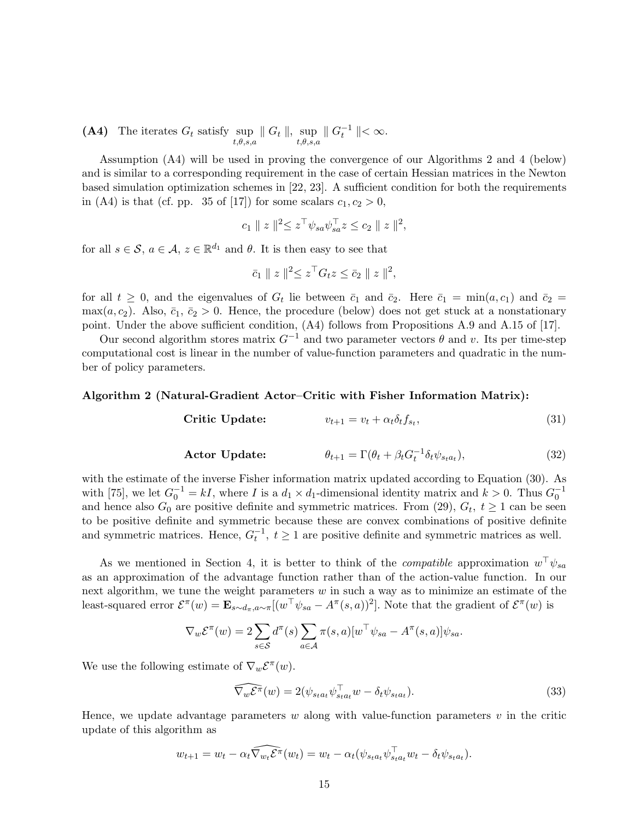(A4) The iterates  $G_t$  satisfy sup  $|| G_t ||$ , sup<br> $t, \theta, s, a$  $\parallel G_t^{-1} \parallel < \infty.$ 

Assumption (A4) will be used in proving the convergence of our Algorithms 2 and 4 (below) and is similar to a corresponding requirement in the case of certain Hessian matrices in the Newton based simulation optimization schemes in [22, 23]. A sufficient condition for both the requirements in (A4) is that (cf. pp. 35 of [17]) for some scalars  $c_1, c_2 > 0$ ,

$$
c_1 \| z \|_2^2 \leq z^{\top} \psi_{sa} \psi_{sa}^{\top} z \leq c_2 \| z \|_2^2
$$
,

for all  $s \in \mathcal{S}$ ,  $a \in \mathcal{A}$ ,  $z \in \mathbb{R}^{d_1}$  and  $\theta$ . It is then easy to see that

$$
\bar{c}_1 \parallel z \parallel^2 \leq z^{\top} G_t z \leq \bar{c}_2 \parallel z \parallel^2,
$$

for all  $t \geq 0$ , and the eigenvalues of  $G_t$  lie between  $\bar{c}_1$  and  $\bar{c}_2$ . Here  $\bar{c}_1 = \min(a, c_1)$  and  $\bar{c}_2 =$  $\max(a, c_2)$ . Also,  $\bar{c}_1$ ,  $\bar{c}_2 > 0$ . Hence, the procedure (below) does not get stuck at a nonstationary point. Under the above sufficient condition, (A4) follows from Propositions A.9 and A.15 of [17].

Our second algorithm stores matrix  $G^{-1}$  and two parameter vectors  $\theta$  and v. Its per time-step computational cost is linear in the number of value-function parameters and quadratic in the number of policy parameters.

#### Algorithm 2 (Natural-Gradient Actor–Critic with Fisher Information Matrix):

$$
\text{Critic Update:} \qquad \qquad v_{t+1} = v_t + \alpha_t \delta_t f_{s_t}, \tag{31}
$$

**Actor Update:** 
$$
\theta_{t+1} = \Gamma(\theta_t + \beta_t G_t^{-1} \delta_t \psi_{s_t a_t}), \qquad (32)
$$

with the estimate of the inverse Fisher information matrix updated according to Equation (30). As with [75], we let  $G_0^{-1} = kI$ , where I is a  $d_1 \times d_1$ -dimensional identity matrix and  $k > 0$ . Thus  $G_0^{-1}$ and hence also  $G_0$  are positive definite and symmetric matrices. From (29),  $G_t$ ,  $t \ge 1$  can be seen to be positive definite and symmetric because these are convex combinations of positive definite and symmetric matrices. Hence,  $G_t^{-1}$ ,  $t \ge 1$  are positive definite and symmetric matrices as well.

As we mentioned in Section 4, it is better to think of the *compatible* approximation  $w^{\top}\psi_{sa}$ as an approximation of the advantage function rather than of the action-value function. In our next algorithm, we tune the weight parameters  $w$  in such a way as to minimize an estimate of the least-squared error  $\mathcal{E}^{\pi}(w) = \mathbf{E}_{s \sim d_{\pi}, a \sim \pi}[(w^{\top}\psi_{sa} - A^{\pi}(s, a))^2]$ . Note that the gradient of  $\mathcal{E}^{\pi}(w)$  is

$$
\nabla_w \mathcal{E}^\pi(w) = 2 \sum_{s \in \mathcal{S}} d^\pi(s) \sum_{a \in \mathcal{A}} \pi(s, a) [w^\top \psi_{sa} - A^\pi(s, a)] \psi_{sa}.
$$

We use the following estimate of  $\nabla_w \mathcal{E}^\pi(w)$ .

$$
\widehat{\nabla_w \mathcal{E}^\pi}(w) = 2(\psi_{s_t a_t} \psi_{s_t a_t}^\top w - \delta_t \psi_{s_t a_t}).\tag{33}
$$

Hence, we update advantage parameters  $w$  along with value-function parameters  $v$  in the critic update of this algorithm as

$$
w_{t+1} = w_t - \alpha_t \widehat{\nabla_{w_t} \mathcal{E}^\pi}(w_t) = w_t - \alpha_t (\psi_{s_t a_t} \psi_{s_t a_t}^\top w_t - \delta_t \psi_{s_t a_t}).
$$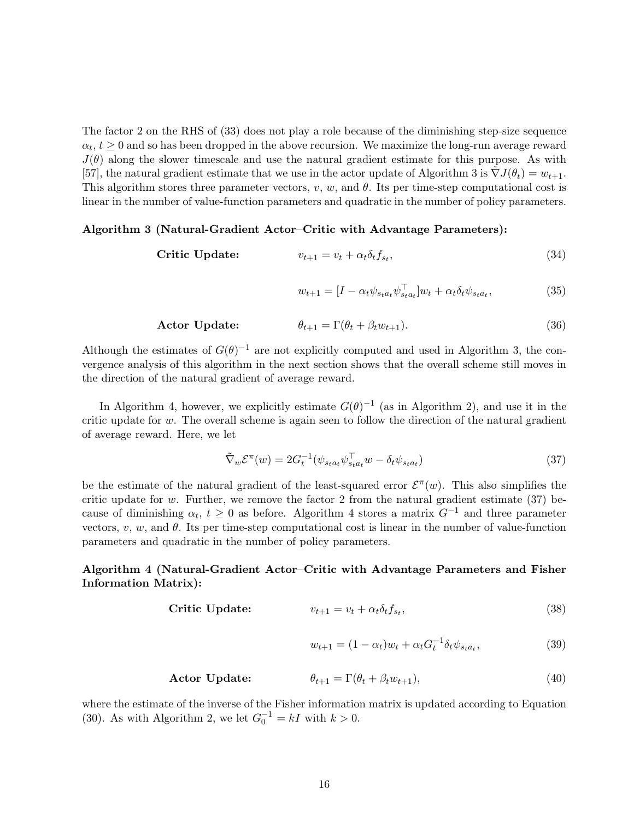The factor 2 on the RHS of (33) does not play a role because of the diminishing step-size sequence  $\alpha_t, t \geq 0$  and so has been dropped in the above recursion. We maximize the long-run average reward  $J(\theta)$  along the slower timescale and use the natural gradient estimate for this purpose. As with [57], the natural gradient estimate that we use in the actor update of Algorithm 3 is  $\nabla J(\theta_t) = w_{t+1}$ . This algorithm stores three parameter vectors,  $v, w$ , and  $\theta$ . Its per time-step computational cost is linear in the number of value-function parameters and quadratic in the number of policy parameters.

#### Algorithm 3 (Natural-Gradient Actor–Critic with Advantage Parameters):

$$
\textbf{Critic Update:} \qquad \qquad v_{t+1} = v_t + \alpha_t \delta_t f_{s_t}, \tag{34}
$$

$$
w_{t+1} = [I - \alpha_t \psi_{s_t a_t} \psi_{s_t a_t}^\top] w_t + \alpha_t \delta_t \psi_{s_t a_t}, \qquad (35)
$$

**Actor Update:** 
$$
\theta_{t+1} = \Gamma(\theta_t + \beta_t w_{t+1}).
$$
 (36)

Although the estimates of  $G(\theta)^{-1}$  are not explicitly computed and used in Algorithm 3, the convergence analysis of this algorithm in the next section shows that the overall scheme still moves in the direction of the natural gradient of average reward.

In Algorithm 4, however, we explicitly estimate  $G(\theta)^{-1}$  (as in Algorithm 2), and use it in the critic update for  $w$ . The overall scheme is again seen to follow the direction of the natural gradient of average reward. Here, we let

$$
\tilde{\nabla}_w \mathcal{E}^\pi(w) = 2G_t^{-1} (\psi_{s_t a_t} \psi_{s_t a_t}^\top w - \delta_t \psi_{s_t a_t}) \tag{37}
$$

be the estimate of the natural gradient of the least-squared error  $\mathcal{E}^{\pi}(w)$ . This also simplifies the critic update for  $w$ . Further, we remove the factor 2 from the natural gradient estimate (37) because of diminishing  $\alpha_t$ ,  $t \geq 0$  as before. Algorithm 4 stores a matrix  $G^{-1}$  and three parameter vectors,  $v, w$ , and  $\theta$ . Its per time-step computational cost is linear in the number of value-function parameters and quadratic in the number of policy parameters.

#### Algorithm 4 (Natural-Gradient Actor–Critic with Advantage Parameters and Fisher Information Matrix):

$$
\textbf{Critic Update:} \qquad \qquad v_{t+1} = v_t + \alpha_t \delta_t f_{s_t}, \tag{38}
$$

$$
w_{t+1} = (1 - \alpha_t)w_t + \alpha_t G_t^{-1} \delta_t \psi_{s_t a_t},
$$
\n(39)

## Actor Update:  $\theta_{t+1} = \Gamma(\theta_t + \beta_t w_{t+1}),$  (40)

where the estimate of the inverse of the Fisher information matrix is updated according to Equation (30). As with Algorithm 2, we let  $G_0^{-1} = kI$  with  $k > 0$ .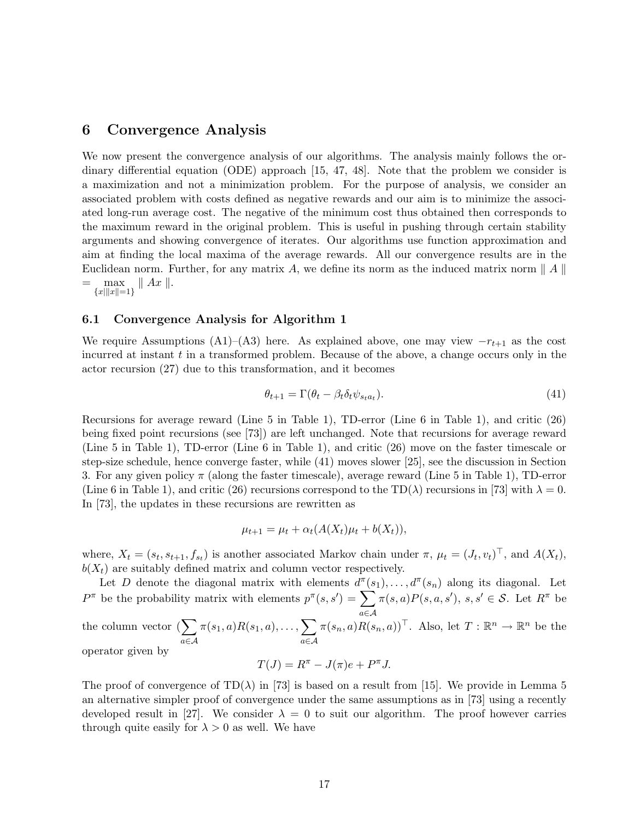## 6 Convergence Analysis

We now present the convergence analysis of our algorithms. The analysis mainly follows the ordinary differential equation (ODE) approach [15, 47, 48]. Note that the problem we consider is a maximization and not a minimization problem. For the purpose of analysis, we consider an associated problem with costs defined as negative rewards and our aim is to minimize the associated long-run average cost. The negative of the minimum cost thus obtained then corresponds to the maximum reward in the original problem. This is useful in pushing through certain stability arguments and showing convergence of iterates. Our algorithms use function approximation and aim at finding the local maxima of the average rewards. All our convergence results are in the Euclidean norm. Further, for any matrix A, we define its norm as the induced matrix norm  $\|A\|$  $= \max_{\{x\|\|x\|=1\}} \|Ax\|.$ 

#### 6.1 Convergence Analysis for Algorithm 1

We require Assumptions (A1)–(A3) here. As explained above, one may view  $-r_{t+1}$  as the cost incurred at instant  $t$  in a transformed problem. Because of the above, a change occurs only in the actor recursion (27) due to this transformation, and it becomes

$$
\theta_{t+1} = \Gamma(\theta_t - \beta_t \delta_t \psi_{s_t a_t}). \tag{41}
$$

Recursions for average reward (Line 5 in Table 1), TD-error (Line 6 in Table 1), and critic (26) being fixed point recursions (see [73]) are left unchanged. Note that recursions for average reward (Line 5 in Table 1), TD-error (Line 6 in Table 1), and critic (26) move on the faster timescale or step-size schedule, hence converge faster, while (41) moves slower [25], see the discussion in Section 3. For any given policy  $\pi$  (along the faster timescale), average reward (Line 5 in Table 1), TD-error (Line 6 in Table 1), and critic (26) recursions correspond to the TD( $\lambda$ ) recursions in [73] with  $\lambda = 0$ . In [73], the updates in these recursions are rewritten as

$$
\mu_{t+1} = \mu_t + \alpha_t (A(X_t)\mu_t + b(X_t)),
$$

where,  $X_t = (s_t, s_{t+1}, f_{s_t})$  is another associated Markov chain under  $\pi$ ,  $\mu_t = (J_t, v_t)^\top$ , and  $A(X_t)$ ,  $b(X_t)$  are suitably defined matrix and column vector respectively.

Let D denote the diagonal matrix with elements  $d^{\pi}(s_1), \ldots, d^{\pi}(s_n)$  along its diagonal. Let  $P^{\pi}$  be the probability matrix with elements  $p^{\pi}(s,s') = \sum \pi(s,a)P(s,a,s')$ ,  $s,s' \in \mathcal{S}$ . Let  $R^{\pi}$  be the column vector  $(\sum \pi(s_1, a)R(s_1, a), \ldots, \sum \pi(s_n, a)R(s_n))$ a∈A  $\pi(s_1,a)R(s_1,a),\ldots, \sum$ a∈A  $\pi(s_n, a)R(s_n, a))$ <sup>T</sup>. Also, let  $T : \mathbb{R}^n \to \mathbb{R}^n$  be the operator given by

$$
T(J) = R^{\pi} - J(\pi)e + P^{\pi}J.
$$

The proof of convergence of  $TD(\lambda)$  in [73] is based on a result from [15]. We provide in Lemma 5 an alternative simpler proof of convergence under the same assumptions as in [73] using a recently developed result in [27]. We consider  $\lambda = 0$  to suit our algorithm. The proof however carries through quite easily for  $\lambda > 0$  as well. We have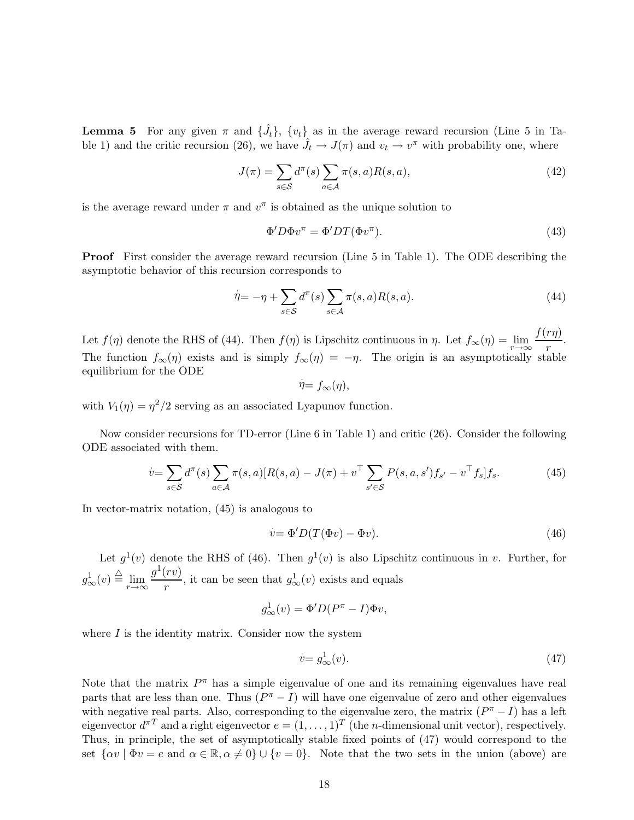**Lemma 5** For any given  $\pi$  and  $\{\hat{J}_t\}$ ,  $\{v_t\}$  as in the average reward recursion (Line 5 in Table 1) and the critic recursion (26), we have  $\hat{J}_t \to J(\pi)$  and  $v_t \to v^{\pi}$  with probability one, where

$$
J(\pi) = \sum_{s \in \mathcal{S}} d^{\pi}(s) \sum_{a \in \mathcal{A}} \pi(s, a) R(s, a), \tag{42}
$$

is the average reward under  $\pi$  and  $v^{\pi}$  is obtained as the unique solution to

$$
\Phi' D \Phi v^{\pi} = \Phi' DT(\Phi v^{\pi}).\tag{43}
$$

Proof First consider the average reward recursion (Line 5 in Table 1). The ODE describing the asymptotic behavior of this recursion corresponds to

$$
\dot{\eta} = -\eta + \sum_{s \in \mathcal{S}} d^{\pi}(s) \sum_{s \in \mathcal{A}} \pi(s, a) R(s, a). \tag{44}
$$

Let  $f(\eta)$  denote the RHS of (44). Then  $f(\eta)$  is Lipschitz continuous in  $\eta$ . Let  $f_{\infty}(\eta) = \lim_{r \to \infty} \frac{f(r\eta)}{r}$  $\frac{r}{r}$ . The function  $f_{\infty}(\eta)$  exists and is simply  $f_{\infty}(\eta) = -\eta$ . The origin is an asymptotically stable equilibrium for the ODE .

$$
\dot{\eta} = f_{\infty}(\eta),
$$

with  $V_1(\eta) = \eta^2/2$  serving as an associated Lyapunov function.

Now consider recursions for TD-error (Line 6 in Table 1) and critic (26). Consider the following ODE associated with them.

$$
\dot{v} = \sum_{s \in S} d^{\pi}(s) \sum_{a \in \mathcal{A}} \pi(s, a) [R(s, a) - J(\pi) + v^{\top} \sum_{s' \in S} P(s, a, s') f_{s'} - v^{\top} f_s] f_s. \tag{45}
$$

In vector-matrix notation, (45) is analogous to

$$
\dot{v} = \Phi' D(T(\Phi v) - \Phi v). \tag{46}
$$

Let  $g^1(v)$  denote the RHS of (46). Then  $g^1(v)$  is also Lipschitz continuous in v. Further, for  $g^1_\infty(v) \stackrel{\triangle}{=} \lim_{r \to \infty} \frac{g^1(rv)}{r}$  $\frac{r^{(v)}}{r}$ , it can be seen that  $g^1_\infty(v)$  exists and equals

$$
g^1_{\infty}(v) = \Phi'D(P^{\pi} - I)\Phi v,
$$

where  $I$  is the identity matrix. Consider now the system

$$
\dot{v} = g^1_\infty(v). \tag{47}
$$

Note that the matrix  $P^{\pi}$  has a simple eigenvalue of one and its remaining eigenvalues have real parts that are less than one. Thus  $(P^{\pi} - I)$  will have one eigenvalue of zero and other eigenvalues with negative real parts. Also, corresponding to the eigenvalue zero, the matrix  $(P^{\pi} - I)$  has a left eigenvector  $d^{\pi T}$  and a right eigenvector  $e = (1, \ldots, 1)^T$  (the *n*-dimensional unit vector), respectively. Thus, in principle, the set of asymptotically stable fixed points of (47) would correspond to the set  $\{\alpha v \mid \Phi v = e \text{ and } \alpha \in \mathbb{R}, \alpha \neq 0\} \cup \{v = 0\}.$  Note that the two sets in the union (above) are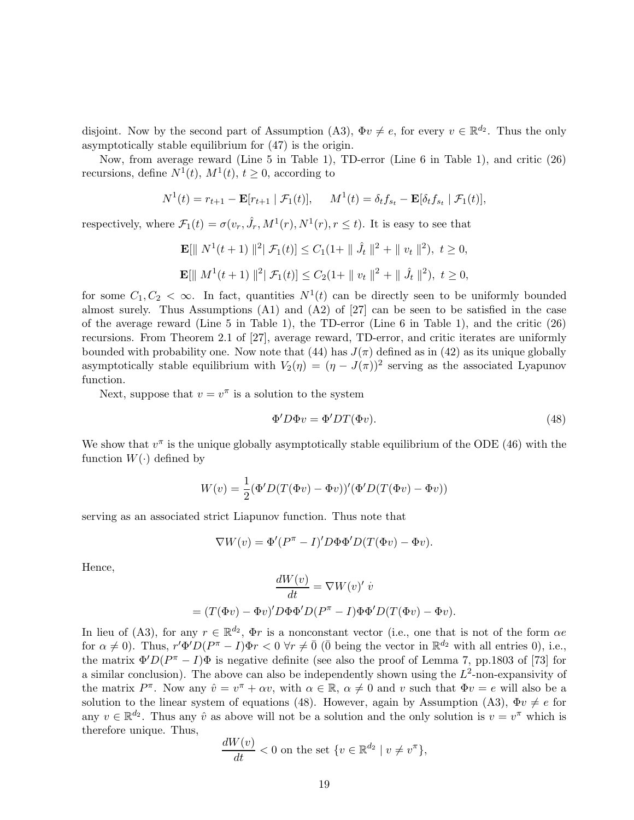disjoint. Now by the second part of Assumption (A3),  $\Phi v \neq e$ , for every  $v \in \mathbb{R}^{d_2}$ . Thus the only asymptotically stable equilibrium for (47) is the origin.

Now, from average reward (Line 5 in Table 1), TD-error (Line 6 in Table 1), and critic (26) recursions, define  $N^1(t)$ ,  $M^1(t)$ ,  $t \geq 0$ , according to

$$
N^{1}(t) = r_{t+1} - \mathbf{E}[r_{t+1} | \mathcal{F}_{1}(t)], \quad M^{1}(t) = \delta_{t} f_{s_{t}} - \mathbf{E}[\delta_{t} f_{s_{t}} | \mathcal{F}_{1}(t)],
$$

respectively, where  $\mathcal{F}_1(t) = \sigma(v_r, \hat{J}_r, M^1(r), N^1(r), r \le t)$ . It is easy to see that

$$
\mathbf{E}[\| N^1(t+1) \|^{2} | \mathcal{F}_1(t)] \leq C_1 (1 + \| \hat{J}_t \|^{2} + \| v_t \|^{2}), \ t \geq 0,
$$
  

$$
\mathbf{E}[\| M^1(t+1) \|^{2} | \mathcal{F}_1(t)] \leq C_2 (1 + \| v_t \|^{2} + \| \hat{J}_t \|^{2}), \ t \geq 0,
$$

for some  $C_1, C_2 < \infty$ . In fact, quantities  $N^1(t)$  can be directly seen to be uniformly bounded almost surely. Thus Assumptions  $(A1)$  and  $(A2)$  of [27] can be seen to be satisfied in the case of the average reward (Line 5 in Table 1), the TD-error (Line 6 in Table 1), and the critic (26) recursions. From Theorem 2.1 of [27], average reward, TD-error, and critic iterates are uniformly bounded with probability one. Now note that (44) has  $J(\pi)$  defined as in (42) as its unique globally asymptotically stable equilibrium with  $V_2(\eta) = (\eta - J(\pi))^2$  serving as the associated Lyapunov function.

Next, suppose that  $v = v^{\pi}$  is a solution to the system

$$
\Phi'D\Phi v = \Phi' DT(\Phi v). \tag{48}
$$

We show that  $v^{\pi}$  is the unique globally asymptotically stable equilibrium of the ODE (46) with the function  $W(\cdot)$  defined by

$$
W(v) = \frac{1}{2} (\Phi' D (T(\Phi v) - \Phi v))' (\Phi' D (T(\Phi v) - \Phi v))
$$

serving as an associated strict Liapunov function. Thus note that

 $\nabla W(v) = \Phi'(P^{\pi} - I)'D\Phi\Phi'D(T(\Phi v) - \Phi v).$ 

Hence,

$$
\frac{dW(v)}{dt} = \nabla W(v)' \dot{v}
$$

$$
= (T(\Phi v) - \Phi v)' D\Phi \Phi' D(P^{\pi} - I) \Phi \Phi' D(T(\Phi v) - \Phi v).
$$

In lieu of (A3), for any  $r \in \mathbb{R}^{d_2}$ ,  $\Phi r$  is a nonconstant vector (i.e., one that is not of the form  $\alpha e$ for  $\alpha \neq 0$ ). Thus,  $r' \Phi' D (P^{\pi} - I) \Phi r < 0 \,\forall r \neq \overline{0}$  ( $\overline{0}$  being the vector in  $\mathbb{R}^{d_2}$  with all entries 0), i.e., the matrix  $\Phi' D (P^{\pi} - I) \Phi$  is negative definite (see also the proof of Lemma 7, pp.1803 of [73] for a similar conclusion). The above can also be independently shown using the  $L^2$ -non-expansivity of the matrix  $P^{\pi}$ . Now any  $\hat{v} = v^{\pi} + \alpha v$ , with  $\alpha \in \mathbb{R}$ ,  $\alpha \neq 0$  and v such that  $\Phi v = e$  will also be a solution to the linear system of equations (48). However, again by Assumption (A3),  $\Phi v \neq e$  for any  $v \in \mathbb{R}^{d_2}$ . Thus any  $\hat{v}$  as above will not be a solution and the only solution is  $v = v^{\pi}$  which is therefore unique. Thus,

$$
\frac{dW(v)}{dt} < 0 \text{ on the set } \{v \in \mathbb{R}^{d_2} \mid v \neq v^\pi\},
$$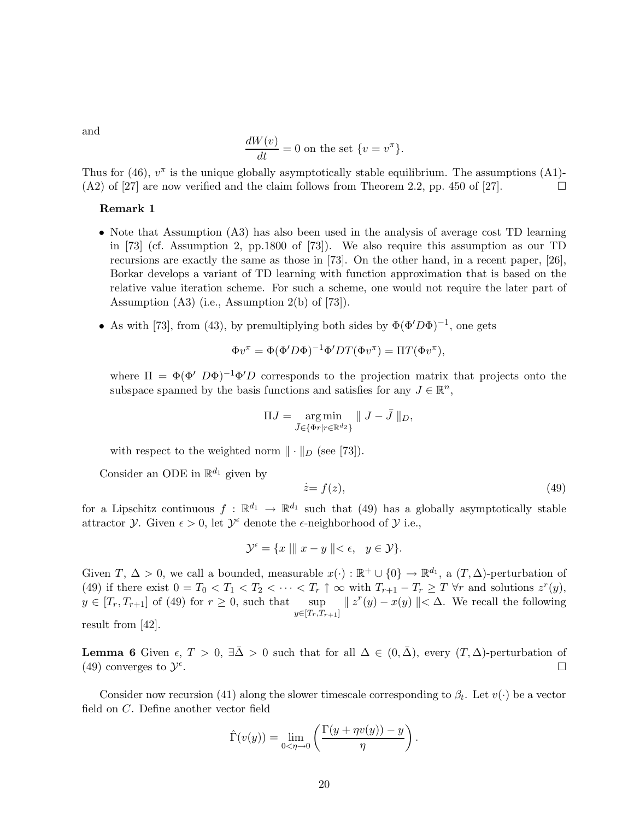and

$$
\frac{dW(v)}{dt} = 0
$$
 on the set  $\{v = v^{\pi}\}.$ 

Thus for (46),  $v^{\pi}$  is the unique globally asymptotically stable equilibrium. The assumptions (A1)- $(A2)$  of [27] are now verified and the claim follows from Theorem 2.2, pp. 450 of [27].

#### Remark 1

- Note that Assumption (A3) has also been used in the analysis of average cost TD learning in [73] (cf. Assumption 2, pp.1800 of [73]). We also require this assumption as our TD recursions are exactly the same as those in [73]. On the other hand, in a recent paper, [26], Borkar develops a variant of TD learning with function approximation that is based on the relative value iteration scheme. For such a scheme, one would not require the later part of Assumption (A3) (i.e., Assumption 2(b) of [73]).
- As with [73], from (43), by premultiplying both sides by  $\Phi(\Phi' D \Phi)^{-1}$ , one gets

$$
\Phi v^{\pi} = \Phi (\Phi' D \Phi)^{-1} \Phi' DT(\Phi v^{\pi}) = \Pi T(\Phi v^{\pi}),
$$

where  $\Pi = \Phi(\Phi' \ D\Phi)^{-1} \Phi' D$  corresponds to the projection matrix that projects onto the subspace spanned by the basis functions and satisfies for any  $J \in \mathbb{R}^n$ ,

$$
\Pi J = \underset{\bar{J} \in \{\Phi r | r \in \mathbb{R}^{d_2}\}}{\arg \min} \| J - \bar{J} \|_{D},
$$

with respect to the weighted norm  $\|\cdot\|_D$  (see [73]).

Consider an ODE in  $\mathbb{R}^{d_1}$  given by

$$
\dot{z} = f(z),\tag{49}
$$

for a Lipschitz continuous  $f : \mathbb{R}^{d_1} \to \mathbb{R}^{d_1}$  such that (49) has a globally asymptotically stable attractor  $\mathcal Y$ . Given  $\epsilon > 0$ , let  $\mathcal Y^{\epsilon}$  denote the  $\epsilon$ -neighborhood of  $\mathcal Y$  i.e.,

$$
\mathcal{Y}^{\epsilon} = \{x \mid \| \ x - y \ \| < \epsilon, \ \ y \in \mathcal{Y} \}.
$$

Given  $T, \Delta > 0$ , we call a bounded, measurable  $x(\cdot): \mathbb{R}^+ \cup \{0\} \to \mathbb{R}^{d_1}$ , a  $(T, \Delta)$ -perturbation of (49) if there exist  $0 = T_0 < T_1 < T_2 < \cdots < T_r \uparrow \infty$  with  $T_{r+1} - T_r \geq T \forall r$  and solutions  $z^r(y)$ ,  $y \in [T_r, T_{r+1}]$  of (49) for  $r \geq 0$ , such that sup  $y \in [T_r,T_{r+1}]$  $|| z^r(y) - x(y) || < \Delta$ . We recall the following

result from [42].

**Lemma 6** Given  $\epsilon, T > 0$ ,  $\exists \bar{\Delta} > 0$  such that for all  $\Delta \in (0, \bar{\Delta})$ , every  $(T, \Delta)$ -perturbation of (49) converges to  $\mathcal{Y}^{\epsilon}$ . В последните поставите на селото на селото на селото на селото на селото на селото на селото на селото на се<br>В поставите на селото на селото на селото на селото на селото на селото на селото на селото на селото на селот

Consider now recursion (41) along the slower timescale corresponding to  $\beta_t$ . Let  $v(\cdot)$  be a vector field on C. Define another vector field

$$
\hat{\Gamma}(v(y)) = \lim_{0 < \eta \to 0} \left( \frac{\Gamma(y + \eta v(y)) - y}{\eta} \right).
$$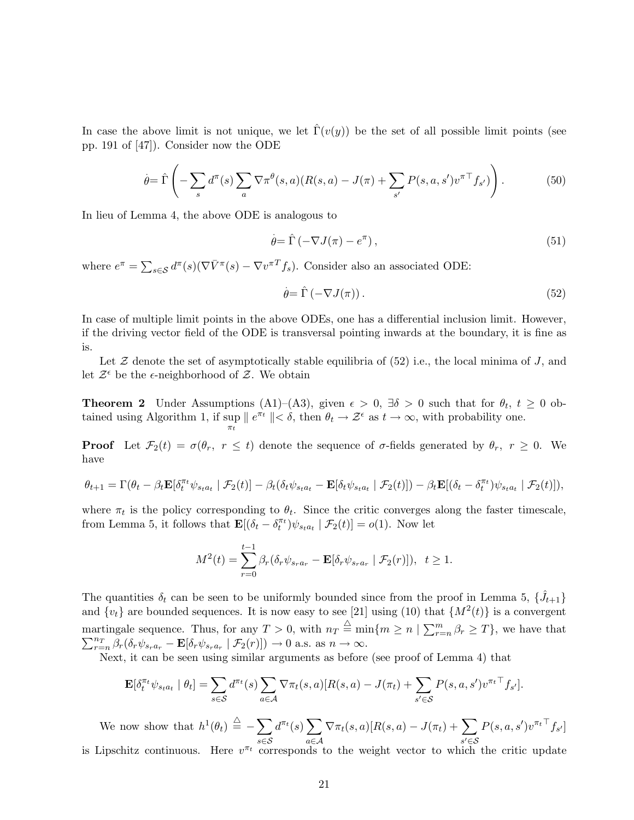In case the above limit is not unique, we let  $\Gamma(v(y))$  be the set of all possible limit points (see pp. 191 of [47]). Consider now the ODE

$$
\dot{\theta} = \hat{\Gamma}\left(-\sum_{s} d^{\pi}(s) \sum_{a} \nabla \pi^{\theta}(s, a) (R(s, a) - J(\pi) + \sum_{s'} P(s, a, s') v^{\pi \top} f_{s'})\right). \tag{50}
$$

In lieu of Lemma 4, the above ODE is analogous to

$$
\dot{\theta} = \hat{\Gamma} \left( -\nabla J(\pi) - e^{\pi} \right),\tag{51}
$$

where  $e^{\pi} = \sum_{s \in \mathcal{S}} d^{\pi}(s) (\nabla \bar{V}^{\pi}(s) - \nabla v^{\pi T} f_s)$ . Consider also an associated ODE:

$$
\dot{\theta} = \hat{\Gamma} \left( -\nabla J(\pi) \right). \tag{52}
$$

In case of multiple limit points in the above ODEs, one has a differential inclusion limit. However, if the driving vector field of the ODE is transversal pointing inwards at the boundary, it is fine as is.

Let  $\mathcal Z$  denote the set of asymptotically stable equilibria of (52) i.e., the local minima of J, and let  $\mathcal{Z}^{\epsilon}$  be the  $\epsilon$ -neighborhood of  $\mathcal{Z}$ . We obtain

**Theorem 2** Under Assumptions (A1)–(A3), given  $\epsilon > 0$ ,  $\exists \delta > 0$  such that for  $\theta_t$ ,  $t \ge 0$  obtained using Algorithm 1, if  $\sup_{\pi_t} ||e^{\pi_t}|| < \delta$ , then  $\theta_t \to \mathcal{Z}^{\epsilon}$  as  $t \to \infty$ , with probability one.

**Proof** Let  $\mathcal{F}_2(t) = \sigma(\theta_r, r \leq t)$  denote the sequence of  $\sigma$ -fields generated by  $\theta_r$ ,  $r \geq 0$ . We have

$$
\theta_{t+1} = \Gamma(\theta_t - \beta_t \mathbf{E}[\delta_t^{\pi_t} \psi_{s_t a_t} | \mathcal{F}_2(t)] - \beta_t (\delta_t \psi_{s_t a_t} - \mathbf{E}[\delta_t \psi_{s_t a_t} | \mathcal{F}_2(t)]) - \beta_t \mathbf{E}[(\delta_t - \delta_t^{\pi_t}) \psi_{s_t a_t} | \mathcal{F}_2(t)]),
$$

where  $\pi_t$  is the policy corresponding to  $\theta_t$ . Since the critic converges along the faster timescale, from Lemma 5, it follows that  $\mathbf{E}[(\delta_t - \delta_t^{\pi_t})\psi_{s_t a_t} | \mathcal{F}_2(t)] = o(1)$ . Now let

$$
M^{2}(t) = \sum_{r=0}^{t-1} \beta_r (\delta_r \psi_{s_r a_r} - \mathbf{E}[\delta_r \psi_{s_r a_r} | \mathcal{F}_2(r)]), \quad t \ge 1.
$$

The quantities  $\delta_t$  can be seen to be uniformly bounded since from the proof in Lemma 5,  $\{\hat{J}_{t+1}\}$ and  $\{v_t\}$  are bounded sequences. It is now easy to see [21] using (10) that  $\{M^2(t)\}$  is a convergent martingale sequence. Thus, for any  $T > 0$ , with  $n_T \stackrel{\triangle}{=} \min\{m \geq n \mid \sum_{r=1}^m n_r \mid r \in [n] \}$ martingale sequence. Thus, for any  $T > 0$ , with  $n_T \equiv \min\{m \ge n \mid \sum_{r=n}^m \beta_r \ge T\}$ , we have that  $\sum_{r=n}^{n_T} \beta_r(\delta_r \psi_{s-a_r} - \mathbf{E}[\delta_r \psi_{s-a_r} | \mathcal{F}_2(r)]) \to 0$  a.s. as  $n \to \infty$ .  $n_T$  $\frac{n_T}{r=n} \beta_r (\delta_r \psi_{s_r a_r} - \mathbf{E} [\delta_r \psi_{s_r a_r} \mid \mathcal{F}_2(r)]) \to 0$  a.s. as  $n \to \infty$ .

Next, it can be seen using similar arguments as before (see proof of Lemma 4) that

$$
\mathbf{E}[\delta_t^{\pi_t} \psi_{sta_t} \mid \theta_t] = \sum_{s \in \mathcal{S}} d^{\pi_t}(s) \sum_{a \in \mathcal{A}} \nabla \pi_t(s, a) [R(s, a) - J(\pi_t) + \sum_{s' \in \mathcal{S}} P(s, a, s') v^{\pi_t \top} f_{s'}].
$$

We now show that  $h^1(\theta_t) \triangleq -\sum$ s∈S  $d^{\pi_t}(s) \sum$ a∈A  $\nabla \pi_t(s,a)[R(s,a) - J(\pi_t) + \sum$ s ′∈S  $P(s, a, s')v^{\pi_t \top} f_{s'}]$ is Lipschitz continuous. Here  $v^{\pi_t}$  corresponds to the weight vector to which the critic update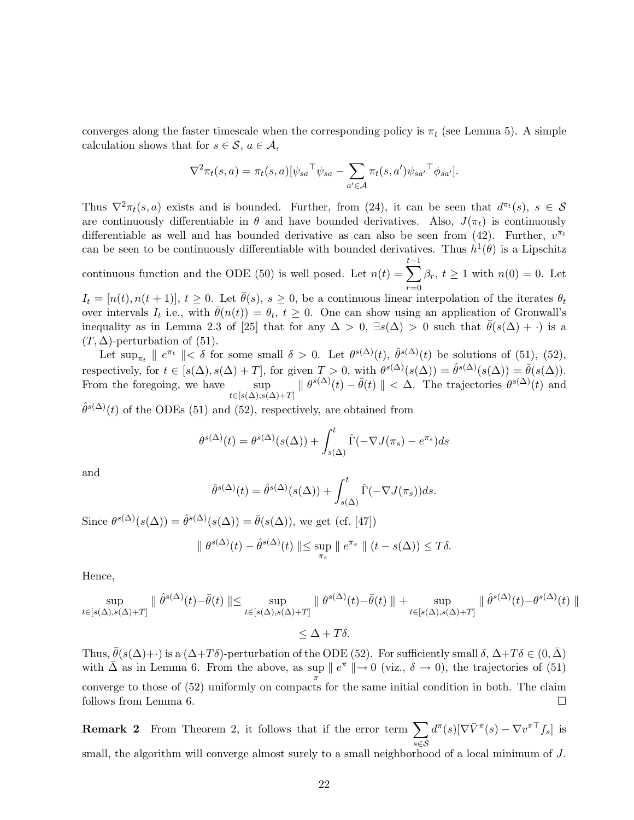converges along the faster timescale when the corresponding policy is  $\pi_t$  (see Lemma 5). A simple calculation shows that for  $s \in \mathcal{S}$ ,  $a \in \mathcal{A}$ ,

$$
\nabla^2 \pi_t(s, a) = \pi_t(s, a) [\psi_{sa}^\top \psi_{sa} - \sum_{a' \in \mathcal{A}} \pi_t(s, a') \psi_{sa'}^\top \phi_{sa'}].
$$

Thus  $\nabla^2 \pi_t(s, a)$  exists and is bounded. Further, from (24), it can be seen that  $d^{\pi_t}(s)$ ,  $s \in \mathcal{S}$ are continuously differentiable in  $\theta$  and have bounded derivatives. Also,  $J(\pi_t)$  is continuously differentiable as well and has bounded derivative as can also be seen from (42). Further,  $v^{\pi_t}$ can be seen to be continuously differentiable with bounded derivatives. Thus  $h^1(\theta)$  is a Lipschitz continuous function and the ODE (50) is well posed. Let  $n(t) = \sum_{n=1}^{t-1}$  $\beta_r$ ,  $t \geq 1$  with  $n(0) = 0$ . Let

 $r=0$  $I_t = [n(t),n(t+1)], t \geq 0$ . Let  $\bar{\theta}(s), s \geq 0$ , be a continuous linear interpolation of the iterates  $\theta_t$ over intervals  $I_t$  i.e., with  $\bar{\theta}(n(t)) = \theta_t$ ,  $t \geq 0$ . One can show using an application of Gronwall's inequality as in Lemma 2.3 of [25] that for any  $\Delta > 0$ ,  $\exists s(\Delta) > 0$  such that  $\bar{\theta}(s(\Delta) + \cdot)$  is a  $(T, \Delta)$ -perturbation of (51).

Let  $\sup_{\pi_t} \| e^{\pi_t} \| < \delta$  for some small  $\delta > 0$ . Let  $\theta^{s(\Delta)}(t)$ ,  $\hat{\theta}^{s(\Delta)}(t)$  be solutions of (51), (52), respectively, for  $t \in [s(\Delta), s(\Delta) + T]$ , for given  $T > 0$ , with  $\theta^{s(\Delta)}(s(\Delta)) = \hat{\theta}^{s(\Delta)}(s(\Delta)) = \bar{\theta}(s(\Delta)).$ From the foregoing, we have sup  $\|\theta^{s(\Delta)}(t) - \bar{\theta}(t)\| < \Delta$ . The trajectories  $\theta^{s(\Delta)}(t)$  and  $t\in[s(\Delta),\bar{s(\Delta)}+T]$ 

 $\hat{\theta}^{s(\Delta)}(t)$  of the ODEs (51) and (52), respectively, are obtained from

$$
\theta^{s(\Delta)}(t) = \theta^{s(\Delta)}(s(\Delta)) + \int_{s(\Delta)}^t \hat{\Gamma}(-\nabla J(\pi_s) - e^{\pi_s})ds
$$

and

$$
\hat{\theta}^{s(\Delta)}(t) = \hat{\theta}^{s(\Delta)}(s(\Delta)) + \int_{s(\Delta)}^{t} \hat{\Gamma}(-\nabla J(\pi_s))ds.
$$

Since  $\theta^{s(\Delta)}(s(\Delta)) = \hat{\theta}^{s(\Delta)}(s(\Delta)) = \bar{\theta}(s(\Delta))$ , we get (cf. [47])

$$
\| \theta^{s(\Delta)}(t) - \hat{\theta}^{s(\Delta)}(t) \| \le \sup_{\pi_s} \| e^{\pi_s} \| (t - s(\Delta)) \le T\delta.
$$

Hence,

$$
\sup_{t \in [s(\Delta), s(\Delta) + T]} \parallel \hat{\theta}^{s(\Delta)}(t) - \bar{\theta}(t) \parallel \leq \sup_{t \in [s(\Delta), s(\Delta) + T]} \parallel \theta^{s(\Delta)}(t) - \bar{\theta}(t) \parallel + \sup_{t \in [s(\Delta), s(\Delta) + T]} \parallel \hat{\theta}^{s(\Delta)}(t) - \theta^{s(\Delta)}(t) \parallel
$$
  
< 
$$
< \Delta + T\delta.
$$

Thus,  $\bar{\theta}(s(\Delta)+\cdot)$  is a  $(\Delta+T\delta)$ -perturbation of the ODE (52). For sufficiently small  $\delta$ ,  $\Delta+T\delta \in (0,\bar{\Delta})$ with  $\bar{\Delta}$  as in Lemma 6. From the above, as sup  $||e^{\pi}|| \to 0$  (viz.,  $\delta \to 0$ ), the trajectories of (51) π converge to those of (52) uniformly on compacts for the same initial condition in both. The claim follows from Lemma 6.

**Remark 2** From Theorem 2, it follows that if the error term  $\sum$ s∈S  $d^{\pi}(s)[\nabla \bar{V}^{\pi}(s) - \nabla v^{\pi \top} f_s]$  is small, the algorithm will converge almost surely to a small neighborhood of a local minimum of J.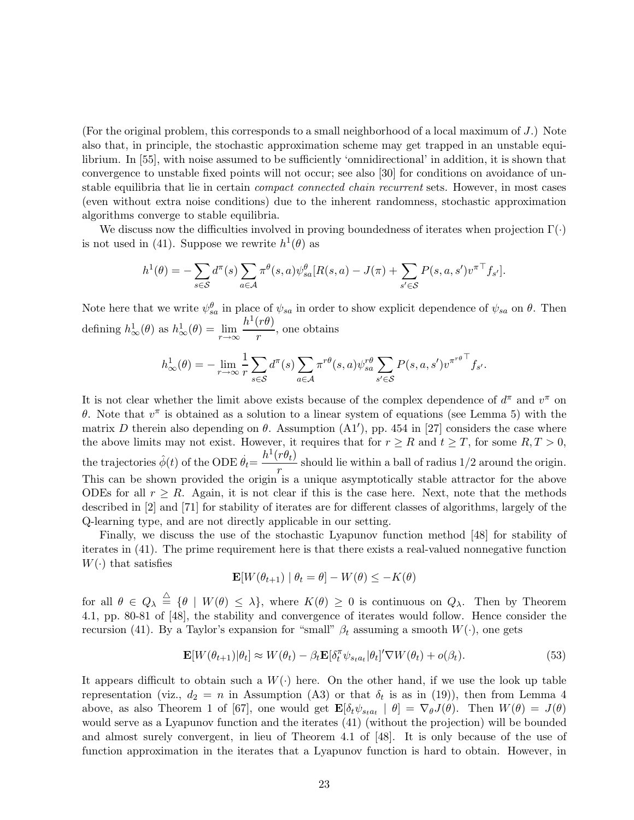(For the original problem, this corresponds to a small neighborhood of a local maximum of  $J$ .) Note also that, in principle, the stochastic approximation scheme may get trapped in an unstable equilibrium. In [55], with noise assumed to be sufficiently 'omnidirectional' in addition, it is shown that convergence to unstable fixed points will not occur; see also [30] for conditions on avoidance of unstable equilibria that lie in certain *compact connected chain recurrent* sets. However, in most cases (even without extra noise conditions) due to the inherent randomness, stochastic approximation algorithms converge to stable equilibria.

We discuss now the difficulties involved in proving boundedness of iterates when projection  $\Gamma(\cdot)$ is not used in (41). Suppose we rewrite  $h^1(\theta)$  as

$$
h^1(\theta) = -\sum_{s \in \mathcal{S}} d^{\pi}(s) \sum_{a \in \mathcal{A}} \pi^{\theta}(s, a) \psi_{sa}^{\theta}[R(s, a) - J(\pi) + \sum_{s' \in \mathcal{S}} P(s, a, s') v^{\pi \top} f_{s'}].
$$

Note here that we write  $\psi_{sa}^{\theta}$  in place of  $\psi_{sa}$  in order to show explicit dependence of  $\psi_{sa}$  on  $\theta$ . Then defining  $h^1_\infty(\theta)$  as  $h^1_\infty(\theta) = \lim_{r \to \infty} \frac{h^1(r\theta)}{r}$  $\frac{(r\sigma)}{r}$ , one obtains

$$
h^1_{\infty}(\theta) = -\lim_{r \to \infty} \frac{1}{r} \sum_{s \in \mathcal{S}} d^{\pi}(s) \sum_{a \in \mathcal{A}} \pi^{r\theta}(s, a) \psi_{sa}^{r\theta} \sum_{s' \in \mathcal{S}} P(s, a, s') v^{\pi^{r\theta}} f_{s'}.
$$

It is not clear whether the limit above exists because of the complex dependence of  $d^{\pi}$  and  $v^{\pi}$  on θ. Note that  $v^{\pi}$  is obtained as a solution to a linear system of equations (see Lemma 5) with the matrix D therein also depending on  $\theta$ . Assumption (A1'), pp. 454 in [27] considers the case where the above limits may not exist. However, it requires that for  $r \geq R$  and  $t \geq T$ , for some  $R, T > 0$ , the trajectories  $\hat{\phi}(t)$  of the ODE  $\dot{\theta}_t = \frac{h^1(r\theta_t)}{r^2}$  $\frac{r}{r}$  should lie within a ball of radius  $1/2$  around the origin. This can be shown provided the origin is a unique asymptotically stable attractor for the above ODEs for all  $r \geq R$ . Again, it is not clear if this is the case here. Next, note that the methods described in [2] and [71] for stability of iterates are for different classes of algorithms, largely of the Q-learning type, and are not directly applicable in our setting.

Finally, we discuss the use of the stochastic Lyapunov function method [48] for stability of iterates in (41). The prime requirement here is that there exists a real-valued nonnegative function  $W(\cdot)$  that satisfies

$$
\mathbf{E}[W(\theta_{t+1}) | \theta_t = \theta] - W(\theta) \le -K(\theta)
$$

for all  $\theta \in Q_{\lambda} \stackrel{\triangle}{=} \{\theta \mid W(\theta) \leq \lambda\}$ , where  $K(\theta) \geq 0$  is continuous on  $Q_{\lambda}$ . Then by Theorem 4.1, pp. 80-81 of [48], the stability and convergence of iterates would follow. Hence consider the recursion (41). By a Taylor's expansion for "small"  $\beta_t$  assuming a smooth  $W(\cdot)$ , one gets

$$
\mathbf{E}[W(\theta_{t+1})|\theta_t] \approx W(\theta_t) - \beta_t \mathbf{E}[\delta_t^{\pi} \psi_{s_t a_t}|\theta_t]' \nabla W(\theta_t) + o(\beta_t). \tag{53}
$$

It appears difficult to obtain such a  $W(\cdot)$  here. On the other hand, if we use the look up table representation (viz.,  $d_2 = n$  in Assumption (A3) or that  $\delta_t$  is as in (19)), then from Lemma 4 above, as also Theorem 1 of [67], one would get  $\mathbf{E}[\delta_t \psi_{s_t a_t} \mid \theta] = \nabla_{\theta} J(\theta)$ . Then  $W(\theta) = J(\theta)$ would serve as a Lyapunov function and the iterates (41) (without the projection) will be bounded and almost surely convergent, in lieu of Theorem 4.1 of [48]. It is only because of the use of function approximation in the iterates that a Lyapunov function is hard to obtain. However, in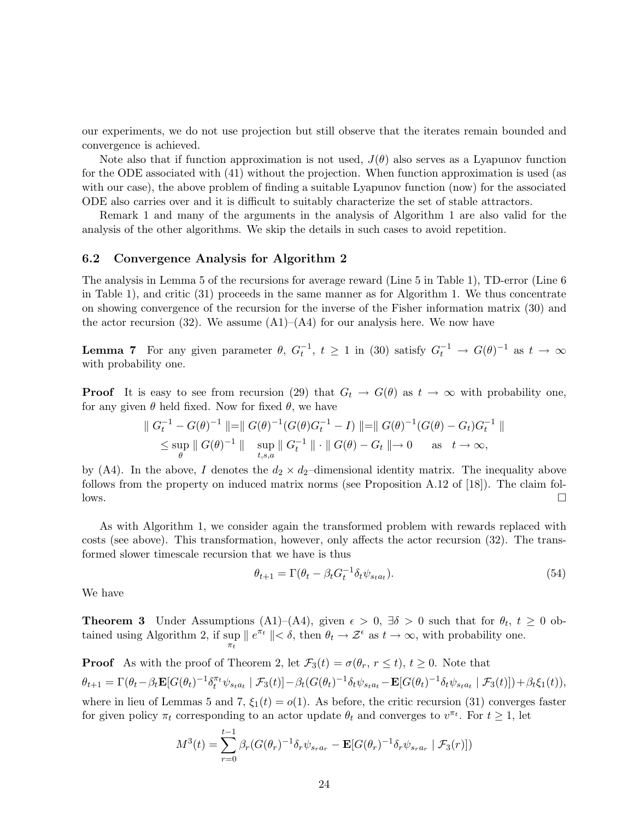our experiments, we do not use projection but still observe that the iterates remain bounded and convergence is achieved.

Note also that if function approximation is not used,  $J(\theta)$  also serves as a Lyapunov function for the ODE associated with (41) without the projection. When function approximation is used (as with our case), the above problem of finding a suitable Lyapunov function (now) for the associated ODE also carries over and it is difficult to suitably characterize the set of stable attractors.

Remark 1 and many of the arguments in the analysis of Algorithm 1 are also valid for the analysis of the other algorithms. We skip the details in such cases to avoid repetition.

#### 6.2 Convergence Analysis for Algorithm 2

The analysis in Lemma 5 of the recursions for average reward (Line 5 in Table 1), TD-error (Line 6 in Table 1), and critic (31) proceeds in the same manner as for Algorithm 1. We thus concentrate on showing convergence of the recursion for the inverse of the Fisher information matrix (30) and the actor recursion (32). We assume  $(A1)$ – $(A4)$  for our analysis here. We now have

**Lemma 7** For any given parameter  $\theta$ ,  $G_t^{-1}$ ,  $t \ge 1$  in (30) satisfy  $G_t^{-1} \to G(\theta)^{-1}$  as  $t \to \infty$ with probability one.

**Proof** It is easy to see from recursion (29) that  $G_t \to G(\theta)$  as  $t \to \infty$  with probability one, for any given  $\theta$  held fixed. Now for fixed  $\theta$ , we have

$$
\| G_t^{-1} - G(\theta)^{-1} \| = \| G(\theta)^{-1} (G(\theta)G_t^{-1} - I) \| = \| G(\theta)^{-1} (G(\theta) - G_t)G_t^{-1} \|
$$
  

$$
\leq \sup_{\theta} \| G(\theta)^{-1} \| \sup_{t,s,a} \| G_t^{-1} \| \cdot \| G(\theta) - G_t \| \to 0 \quad \text{as} \quad t \to \infty,
$$

by (A4). In the above, I denotes the  $d_2 \times d_2$ -dimensional identity matrix. The inequality above follows from the property on induced matrix norms (see Proposition A.12 of [18]). The claim fol- $\Box$ 

As with Algorithm 1, we consider again the transformed problem with rewards replaced with costs (see above). This transformation, however, only affects the actor recursion (32). The transformed slower timescale recursion that we have is thus

$$
\theta_{t+1} = \Gamma(\theta_t - \beta_t G_t^{-1} \delta_t \psi_{s_t a_t}). \tag{54}
$$

We have

**Theorem 3** Under Assumptions (A1)–(A4), given  $\epsilon > 0$ ,  $\exists \delta > 0$  such that for  $\theta_t$ ,  $t \ge 0$  obtained using Algorithm 2, if sup  $||e^{\pi t}|| < \delta$ , then  $\theta_t \to \mathcal{Z}^{\epsilon}$  as  $t \to \infty$ , with probability one.  $\pi_t$ 

**Proof** As with the proof of Theorem 2, let  $\mathcal{F}_3(t) = \sigma(\theta_r, r \leq t)$ ,  $t \geq 0$ . Note that  $\theta_{t+1} = \Gamma(\theta_t - \beta_t \mathbf{E}[G(\theta_t)^{-1} \delta_t^{\pi_t} \psi_{s_t a_t} | \mathcal{F}_3(t)] - \beta_t (G(\theta_t)^{-1} \delta_t \psi_{s_t a_t} - \mathbf{E}[G(\theta_t)^{-1} \delta_t \psi_{s_t a_t} | \mathcal{F}_3(t)]) + \beta_t \xi_1(t)),$ where in lieu of Lemmas 5 and 7,  $\xi_1(t) = o(1)$ . As before, the critic recursion (31) converges faster for given policy  $\pi_t$  corresponding to an actor update  $\theta_t$  and converges to  $v^{\pi_t}$ . For  $t \geq 1$ , let

$$
M^{3}(t) = \sum_{r=0}^{t-1} \beta_{r} (G(\theta_{r})^{-1} \delta_{r} \psi_{s_{r} a_{r}} - \mathbf{E}[G(\theta_{r})^{-1} \delta_{r} \psi_{s_{r} a_{r}} | \mathcal{F}_{3}(r)])
$$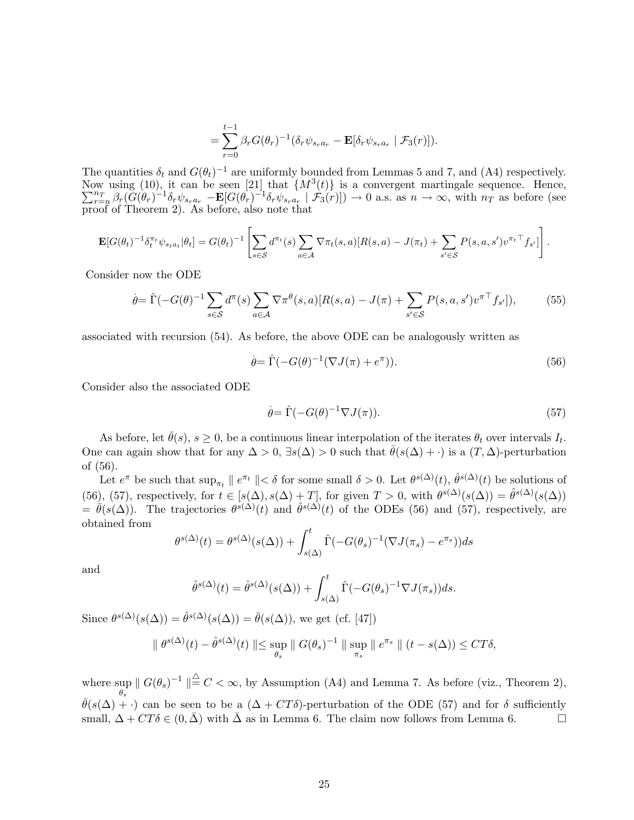$$
= \sum_{r=0}^{t-1} \beta_r G(\theta_r)^{-1} (\delta_r \psi_{s_r a_r} - \mathbf{E}[\delta_r \psi_{s_r a_r} | \mathcal{F}_3(r)]).
$$

The quantities  $\delta_t$  and  $G(\theta_t)^{-1}$  are uniformly bounded from Lemmas 5 and 7, and (A4) respectively. Now using (10), it can be seen [21] that  $\{M^3\}$  $\sum$ (t)} is a convergent martingale sequence. Hence, nT  $\frac{n_T}{r=n} \beta_r (\tilde{G}(\theta_r)^{-1} \delta_r \psi_{s_r a_r} - \mathbf{E} [G(\theta_r)^{-1} \delta_r \psi_{s_r a_r} | \mathcal{F}_3(r)]) \to 0$  a.s. as  $n \to \infty$ , with  $n_T$  as before (see proof of Theorem 2). As before, also note that

$$
\mathbf{E}[G(\theta_t)^{-1}\delta_t^{\pi_t}\psi_{s_t a_t}|\theta_t] = G(\theta_t)^{-1} \left[\sum_{s\in\mathcal{S}} d^{\pi_t}(s)\sum_{a\in\mathcal{A}} \nabla \pi_t(s,a)[R(s,a) - J(\pi_t) + \sum_{s'\in\mathcal{S}} P(s,a,s')v^{\pi_t \top}f_{s'}]\right].
$$

Consider now the ODE

$$
\dot{\theta} = \hat{\Gamma}(-G(\theta)^{-1} \sum_{s \in \mathcal{S}} d^{\pi}(s) \sum_{a \in \mathcal{A}} \nabla \pi^{\theta}(s, a) [R(s, a) - J(\pi) + \sum_{s' \in \mathcal{S}} P(s, a, s') v^{\pi \top} f_{s'}]),\tag{55}
$$

associated with recursion (54). As before, the above ODE can be analogously written as

$$
\dot{\theta} = \hat{\Gamma}(-G(\theta)^{-1}(\nabla J(\pi) + e^{\pi})).
$$
\n(56)

Consider also the associated ODE

$$
\dot{\theta} = \hat{\Gamma}(-G(\theta)^{-1}\nabla J(\pi)).\tag{57}
$$

As before, let  $\bar{\theta}(s)$ ,  $s \geq 0$ , be a continuous linear interpolation of the iterates  $\theta_t$  over intervals  $I_t$ . One can again show that for any  $\Delta > 0$ ,  $\exists s(\Delta) > 0$  such that  $\bar{\theta}(s(\Delta) + \cdot)$  is a  $(T, \Delta)$ -perturbation of (56).

Let  $e^{\pi}$  be such that  $\sup_{\pi_t} || e^{\pi_t} || < \delta$  for some small  $\delta > 0$ . Let  $\theta^{s(\Delta)}(t)$ ,  $\hat{\theta}^{s(\Delta)}(t)$  be solutions of (56), (57), respectively, for  $t \in [s(\Delta), s(\Delta) + T]$ , for given  $T > 0$ , with  $\theta^{s(\Delta)}(s(\Delta)) = \hat{\theta}^{s(\Delta)}(s(\Delta))$  $=\bar{\theta}(s(\Delta))$ . The trajectories  $\theta^{s(\Delta)}(t)$  and  $\hat{\theta}^{s(\Delta)}(t)$  of the ODEs (56) and (57), respectively, are obtained from

$$
\theta^{s(\Delta)}(t) = \theta^{s(\Delta)}(s(\Delta)) + \int_{s(\Delta)}^t \hat{\Gamma}(-G(\theta_s)^{-1}(\nabla J(\pi_s) - e^{\pi_s}))ds
$$

and

$$
\hat{\theta}^{s(\Delta)}(t) = \hat{\theta}^{s(\Delta)}(s(\Delta)) + \int_{s(\Delta)}^{t} \hat{\Gamma}(-G(\theta_s)^{-1} \nabla J(\pi_s))ds.
$$

Since  $\theta^{s(\Delta)}(s(\Delta)) = \hat{\theta}^{s(\Delta)}(s(\Delta)) = \bar{\theta}(s(\Delta))$ , we get (cf. [47])

$$
\| \theta^{s(\Delta)}(t) - \hat{\theta}^{s(\Delta)}(t) \| \le \sup_{\theta_s} \| G(\theta_s)^{-1} \| \sup_{\pi_s} \| e^{\pi_s} \| (t - s(\Delta)) \le CT\delta,
$$

where sup  $||G(\theta_s)^{-1}|| \stackrel{\triangle}{=} C < \infty$ , by Assumption (A4) and Lemma 7. As before (viz., Theorem 2),  $\bar{\theta}(s(\Delta) + \cdot)$  can be seen to be a  $(\Delta + CT\delta)$ -perturbation of the ODE (57) and for  $\delta$  sufficiently small,  $\Delta + CT\delta \in (0, \bar{\Delta})$  with  $\bar{\Delta}$  as in Lemma 6. The claim now follows from Lemma 6.  $\Box$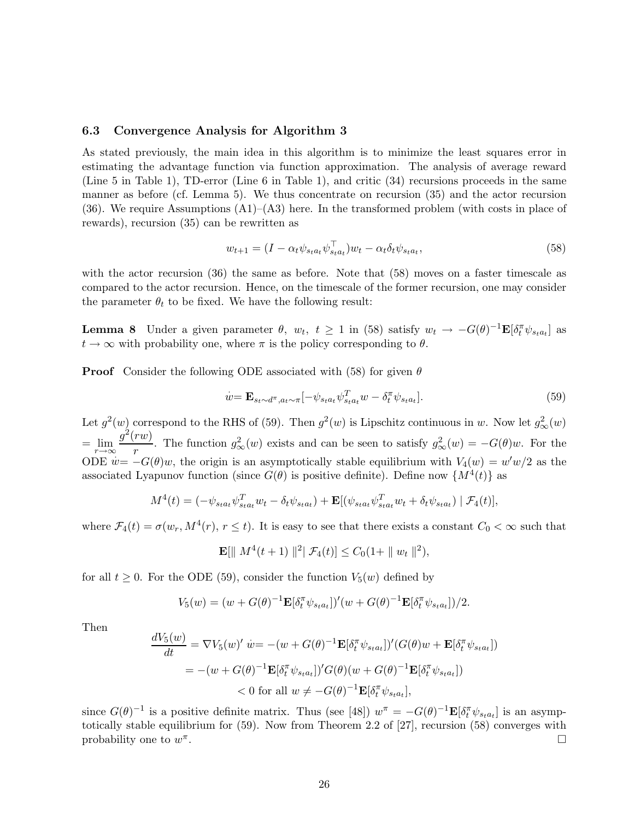#### 6.3 Convergence Analysis for Algorithm 3

As stated previously, the main idea in this algorithm is to minimize the least squares error in estimating the advantage function via function approximation. The analysis of average reward (Line 5 in Table 1), TD-error (Line 6 in Table 1), and critic (34) recursions proceeds in the same manner as before (cf. Lemma 5). We thus concentrate on recursion (35) and the actor recursion  $(36)$ . We require Assumptions  $(A1)$ – $(A3)$  here. In the transformed problem (with costs in place of rewards), recursion (35) can be rewritten as

$$
w_{t+1} = (I - \alpha_t \psi_{sta_t} \psi_{sta_t}^\top) w_t - \alpha_t \delta_t \psi_{sta_t},\tag{58}
$$

with the actor recursion (36) the same as before. Note that (58) moves on a faster timescale as compared to the actor recursion. Hence, on the timescale of the former recursion, one may consider the parameter  $\theta_t$  to be fixed. We have the following result:

**Lemma 8** Under a given parameter  $\theta$ ,  $w_t$ ,  $t \ge 1$  in (58) satisfy  $w_t \to -G(\theta)^{-1} \mathbf{E}[\delta_t^{\pi} \psi_{s_t a_t}]$  as  $t \to \infty$  with probability one, where  $\pi$  is the policy corresponding to  $\theta$ .

**Proof** Consider the following ODE associated with (58) for given  $\theta$ 

$$
\dot{w} = \mathbf{E}_{s_t \sim d^{\pi}, a_t \sim \pi} \left[ -\psi_{s_t a_t} \psi_{s_t a_t}^T w - \delta_t^{\pi} \psi_{s_t a_t} \right]. \tag{59}
$$

Let  $g^2(w)$  correspond to the RHS of (59). Then  $g^2(w)$  is Lipschitz continuous in w. Now let  $g^2_{\infty}(w)$  $=\lim_{r\to\infty}\frac{g^2(rw)}{r}$  $\frac{r(w)}{r}$ . The function  $g^2_{\infty}(w)$  exists and can be seen to satisfy  $g^2_{\infty}(w) = -G(\theta)w$ . For the ODE  $w = -G(\theta)w$ , the origin is an asymptotically stable equilibrium with  $V_4(w) = w'w/2$  as the associated Lyapunov function (since  $G(\theta)$  is positive definite). Define now  $\{M^4(t)\}\$ as

$$
M^{4}(t) = (-\psi_{s_{t}a_{t}}\psi_{s_{t}a_{t}}^{T}w_{t} - \delta_{t}\psi_{s_{t}a_{t}}) + \mathbf{E}[(\psi_{s_{t}a_{t}}\psi_{s_{t}a_{t}}^{T}w_{t} + \delta_{t}\psi_{s_{t}a_{t}}) | \mathcal{F}_{4}(t)],
$$

where  $\mathcal{F}_4(t) = \sigma(w_r, M^4(r), r \leq t)$ . It is easy to see that there exists a constant  $C_0 < \infty$  such that

$$
\mathbf{E}[\| M^4(t+1) \|^{2} | \mathcal{F}_4(t)] \leq C_0 (1 + \| w_t \|^{2}),
$$

for all  $t \geq 0$ . For the ODE (59), consider the function  $V_5(w)$  defined by

$$
V_5(w) = (w + G(\theta)^{-1} \mathbf{E}[\delta_t^{\pi} \psi_{s_t a_t}])'(w + G(\theta)^{-1} \mathbf{E}[\delta_t^{\pi} \psi_{s_t a_t}])/2.
$$

Then

$$
\frac{dV_5(w)}{dt} = \nabla V_5(w)' \dot{w} = -(w + G(\theta)^{-1} \mathbf{E}[\delta_t^{\pi} \psi_{s_t a_t}])'(G(\theta)w + \mathbf{E}[\delta_t^{\pi} \psi_{s_t a_t}])
$$
  

$$
= -(w + G(\theta)^{-1} \mathbf{E}[\delta_t^{\pi} \psi_{s_t a_t}])'G(\theta)(w + G(\theta)^{-1} \mathbf{E}[\delta_t^{\pi} \psi_{s_t a_t}])
$$
  

$$
< 0 \text{ for all } w \neq -G(\theta)^{-1} \mathbf{E}[\delta_t^{\pi} \psi_{s_t a_t}],
$$

since  $G(\theta)^{-1}$  is a positive definite matrix. Thus (see [48])  $w^{\pi} = -G(\theta)^{-1} \mathbf{E}[\delta_t^{\pi} \psi_{s_t a_t}]$  is an asymptotically stable equilibrium for (59). Now from Theorem 2.2 of [27], recursion (58) converges with probability one to  $w^{\pi}$ .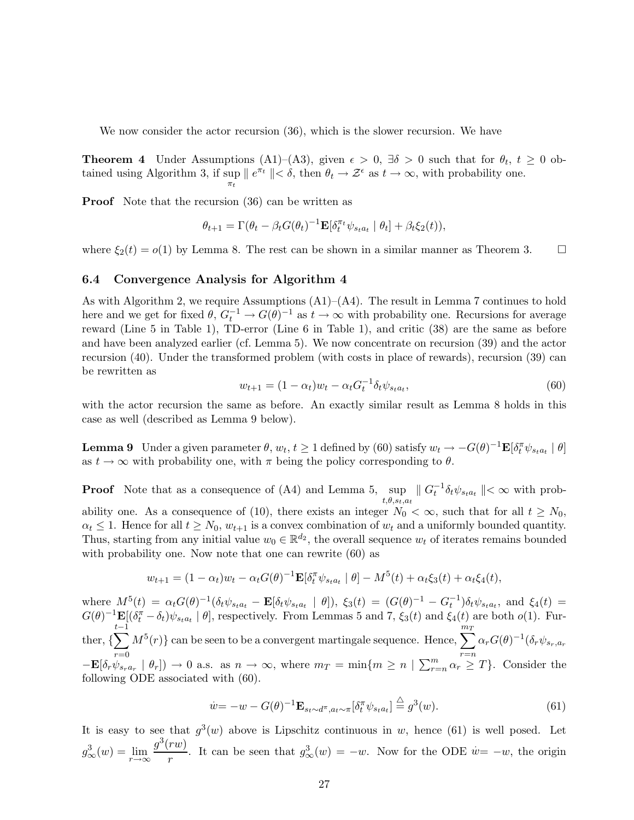We now consider the actor recursion (36), which is the slower recursion. We have

**Theorem 4** Under Assumptions (A1)–(A3), given  $\epsilon > 0$ ,  $\exists \delta > 0$  such that for  $\theta_t$ ,  $t \geq 0$  obtained using Algorithm 3, if  $\sup_{\pi_t} ||e^{\pi_t}|| < \delta$ , then  $\theta_t \to \mathcal{Z}^{\epsilon}$  as  $t \to \infty$ , with probability one.

**Proof** Note that the recursion (36) can be written as

$$
\theta_{t+1} = \Gamma(\theta_t - \beta_t G(\theta_t)^{-1} \mathbf{E}[\delta_t^{\pi_t} \psi_{s_t a_t} | \theta_t] + \beta_t \xi_2(t)),
$$

where  $\xi_2(t) = o(1)$  by Lemma 8. The rest can be shown in a similar manner as Theorem 3.

#### 6.4 Convergence Analysis for Algorithm 4

As with Algorithm 2, we require Assumptions (A1)–(A4). The result in Lemma 7 continues to hold here and we get for fixed  $\theta$ ,  $G_t^{-1} \to G(\theta)^{-1}$  as  $t \to \infty$  with probability one. Recursions for average reward (Line 5 in Table 1), TD-error (Line 6 in Table 1), and critic (38) are the same as before and have been analyzed earlier (cf. Lemma 5). We now concentrate on recursion (39) and the actor recursion (40). Under the transformed problem (with costs in place of rewards), recursion (39) can be rewritten as

$$
w_{t+1} = (1 - \alpha_t)w_t - \alpha_t G_t^{-1} \delta_t \psi_{s_t a_t},
$$
\n(60)

with the actor recursion the same as before. An exactly similar result as Lemma 8 holds in this case as well (described as Lemma 9 below).

**Lemma 9** Under a given parameter  $\theta$ ,  $w_t$ ,  $t \ge 1$  defined by (60) satisfy  $w_t \to -G(\theta)^{-1} \mathbf{E}[\delta_t^{\pi} \psi_{s_t a_t} \mid \theta]$ as  $t \to \infty$  with probability one, with  $\pi$  being the policy corresponding to  $\theta$ .

**Proof** Note that as a consequence of (A4) and Lemma 5, sup  $||G_t^{-1}\delta_t\psi_{s_t a_t}|| < \infty$  with prob $t,\theta,s_t,a_t$ ability one. As a consequence of (10), there exists an integer  $N_0 < \infty$ , such that for all  $t \ge N_0$ ,  $\alpha_t \leq 1$ . Hence for all  $t \geq N_0$ ,  $w_{t+1}$  is a convex combination of  $w_t$  and a uniformly bounded quantity. Thus, starting from any initial value  $w_0 \in \mathbb{R}^{d_2}$ , the overall sequence  $w_t$  of iterates remains bounded with probability one. Now note that one can rewrite  $(60)$  as

$$
w_{t+1} = (1 - \alpha_t)w_t - \alpha_t G(\theta)^{-1} \mathbf{E}[\delta_t^{\pi} \psi_{s_t a_t} | \theta] - M^5(t) + \alpha_t \xi_3(t) + \alpha_t \xi_4(t),
$$

where  $M^5(t) = \alpha_t G(\theta)^{-1} (\delta_t \psi_{s_t a_t} - \mathbf{E}[\delta_t \psi_{s_t a_t} | \theta]), \xi_3(t) = (G(\theta)^{-1} - G_t^{-1}) \delta_t \psi_{s_t a_t},$  and  $\xi_4(t) =$  $G(\theta)^{-1}\mathbf{E}[(\delta_t^{\pi}-\delta_t)\psi_{s_t a_t} \mid \theta]$ , respectively. From Lemmas 5 and 7,  $\xi_3(t)$  and  $\xi_4(t)$  are both  $o(1)$ . Further,  $\{\sum^{t-1} M^5(r)\}$  can be seen to be a convergent martingale sequence. Hence,  $\sum^{m_T} \alpha_r G(\theta)^{-1} (\delta_r \psi_{s_r,a_r})$  $t-1$  $r=0$   $r=n$  $-\mathbf{E}[\delta_r \psi_{s_r a_r} \mid \theta_r] \rightarrow 0$  a.s. as  $n \rightarrow \infty$ , where  $m_T = \min\{m \geq n \mid \sum_{r=n}^m \alpha_r \geq T\}$ . Consider the following ODE associated with (60).

$$
\dot{w} = -w - G(\theta)^{-1} \mathbf{E}_{s_t \sim d^{\pi}, a_t \sim \pi} [\delta_t^{\pi} \psi_{s_t a_t}] \stackrel{\triangle}{=} g^3(w). \tag{61}
$$

It is easy to see that  $g^3(w)$  above is Lipschitz continuous in w, hence (61) is well posed. Let  $g_{\infty}^3(w) = \lim_{r \to \infty} \frac{g^3(rw)}{r}$  $\frac{rw}{r}$ . It can be seen that  $g^3_{\infty}(w) = -w$ . Now for the ODE  $w = -w$ , the origin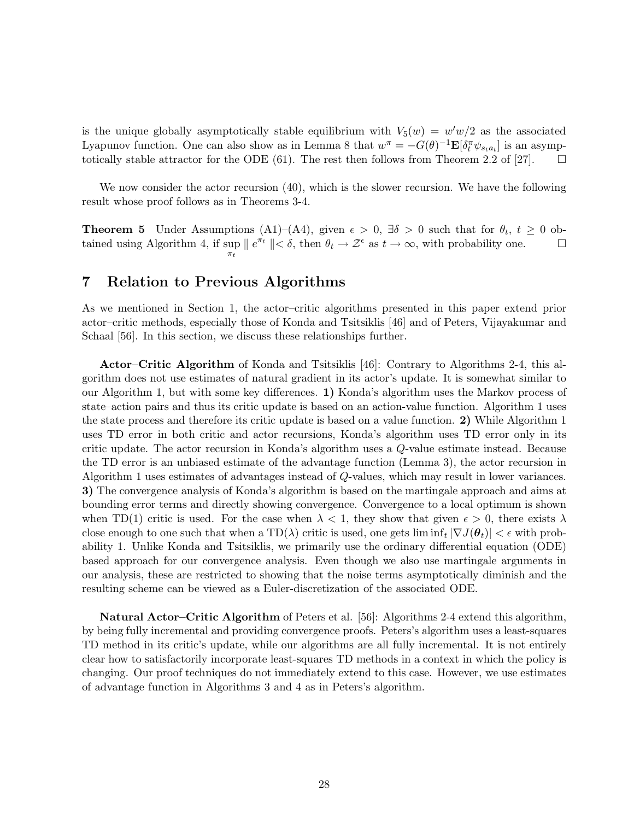is the unique globally asymptotically stable equilibrium with  $V_5(w) = w/w/2$  as the associated Lyapunov function. One can also show as in Lemma 8 that  $w^{\pi} = -G(\theta)^{-1} \mathbf{E}[\delta_t^{\pi} \psi_{s_t a_t}]$  is an asymptotically stable attractor for the ODE (61). The rest then follows from Theorem 2.2 of [27].  $\square$ 

We now consider the actor recursion (40), which is the slower recursion. We have the following result whose proof follows as in Theorems 3-4.

**Theorem 5** Under Assumptions (A1)–(A4), given  $\epsilon > 0$ ,  $\exists \delta > 0$  such that for  $\theta_t$ ,  $t \ge 0$  obtained using Algorithm 4, if sup  $\pi_t$  $\| e^{\pi t} \| < \delta$ , then  $\theta_t \to \mathcal{Z}^{\epsilon}$  as  $t \to \infty$ , with probability one.  $\Box$ 

## 7 Relation to Previous Algorithms

As we mentioned in Section 1, the actor–critic algorithms presented in this paper extend prior actor–critic methods, especially those of Konda and Tsitsiklis [46] and of Peters, Vijayakumar and Schaal [56]. In this section, we discuss these relationships further.

Actor–Critic Algorithm of Konda and Tsitsiklis [46]: Contrary to Algorithms 2-4, this algorithm does not use estimates of natural gradient in its actor's update. It is somewhat similar to our Algorithm 1, but with some key differences. 1) Konda's algorithm uses the Markov process of state–action pairs and thus its critic update is based on an action-value function. Algorithm 1 uses the state process and therefore its critic update is based on a value function. 2) While Algorithm 1 uses TD error in both critic and actor recursions, Konda's algorithm uses TD error only in its critic update. The actor recursion in Konda's algorithm uses a Q-value estimate instead. Because the TD error is an unbiased estimate of the advantage function (Lemma 3), the actor recursion in Algorithm 1 uses estimates of advantages instead of Q-values, which may result in lower variances. 3) The convergence analysis of Konda's algorithm is based on the martingale approach and aims at bounding error terms and directly showing convergence. Convergence to a local optimum is shown when TD(1) critic is used. For the case when  $\lambda < 1$ , they show that given  $\epsilon > 0$ , there exists  $\lambda$ close enough to one such that when a  $TD(\lambda)$  critic is used, one gets  $\liminf_t |\nabla J(\theta_t)| < \epsilon$  with probability 1. Unlike Konda and Tsitsiklis, we primarily use the ordinary differential equation (ODE) based approach for our convergence analysis. Even though we also use martingale arguments in our analysis, these are restricted to showing that the noise terms asymptotically diminish and the resulting scheme can be viewed as a Euler-discretization of the associated ODE.

Natural Actor–Critic Algorithm of Peters et al. [56]: Algorithms 2-4 extend this algorithm, by being fully incremental and providing convergence proofs. Peters's algorithm uses a least-squares TD method in its critic's update, while our algorithms are all fully incremental. It is not entirely clear how to satisfactorily incorporate least-squares TD methods in a context in which the policy is changing. Our proof techniques do not immediately extend to this case. However, we use estimates of advantage function in Algorithms 3 and 4 as in Peters's algorithm.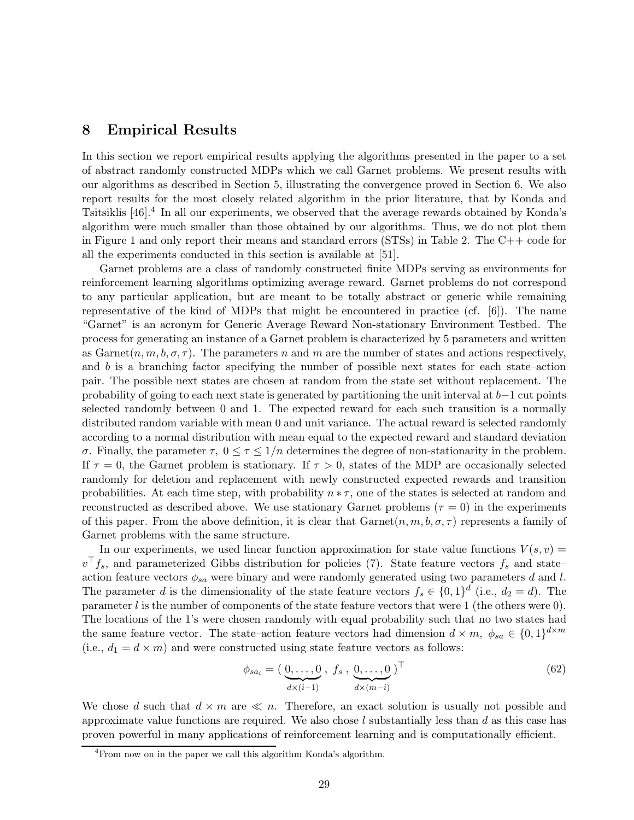## 8 Empirical Results

In this section we report empirical results applying the algorithms presented in the paper to a set of abstract randomly constructed MDPs which we call Garnet problems. We present results with our algorithms as described in Section 5, illustrating the convergence proved in Section 6. We also report results for the most closely related algorithm in the prior literature, that by Konda and Tsitsiklis [46].<sup>4</sup> In all our experiments, we observed that the average rewards obtained by Konda's algorithm were much smaller than those obtained by our algorithms. Thus, we do not plot them in Figure 1 and only report their means and standard errors (STSs) in Table 2. The C++ code for all the experiments conducted in this section is available at [51].

Garnet problems are a class of randomly constructed finite MDPs serving as environments for reinforcement learning algorithms optimizing average reward. Garnet problems do not correspond to any particular application, but are meant to be totally abstract or generic while remaining representative of the kind of MDPs that might be encountered in practice (cf.  $[6]$ ). The name "Garnet" is an acronym for Generic Average Reward Non-stationary Environment Testbed. The process for generating an instance of a Garnet problem is characterized by 5 parameters and written as Garnet $(n, m, b, \sigma, \tau)$ . The parameters n and m are the number of states and actions respectively, and  $b$  is a branching factor specifying the number of possible next states for each state–action pair. The possible next states are chosen at random from the state set without replacement. The probability of going to each next state is generated by partitioning the unit interval at b−1 cut points selected randomly between 0 and 1. The expected reward for each such transition is a normally distributed random variable with mean 0 and unit variance. The actual reward is selected randomly according to a normal distribution with mean equal to the expected reward and standard deviation σ. Finally, the parameter τ, 0 ≤ τ ≤ 1/n determines the degree of non-stationarity in the problem. If  $\tau = 0$ , the Garnet problem is stationary. If  $\tau > 0$ , states of the MDP are occasionally selected randomly for deletion and replacement with newly constructed expected rewards and transition probabilities. At each time step, with probability  $n * \tau$ , one of the states is selected at random and reconstructed as described above. We use stationary Garnet problems ( $\tau = 0$ ) in the experiments of this paper. From the above definition, it is clear that  $\operatorname{Garnet}(n,m,b,\sigma,\tau)$  represents a family of Garnet problems with the same structure.

In our experiments, we used linear function approximation for state value functions  $V(s, v)$  $v^{\top} f_s$ , and parameterized Gibbs distribution for policies (7). State feature vectors  $f_s$  and state– action feature vectors  $\phi_{sa}$  were binary and were randomly generated using two parameters d and l. The parameter d is the dimensionality of the state feature vectors  $f_s \in \{0,1\}^d$  (i.e.,  $d_2 = d$ ). The parameter  $l$  is the number of components of the state feature vectors that were 1 (the others were  $0$ ). The locations of the 1's were chosen randomly with equal probability such that no two states had the same feature vector. The state–action feature vectors had dimension  $d \times m$ ,  $\phi_{sa} \in \{0,1\}^{d \times m}$ (i.e.,  $d_1 = d \times m$ ) and were constructed using state feature vectors as follows:

$$
\phi_{sa_i} = \left(\underbrace{0, \dots, 0}_{d \times (i-1)} , f_s, \underbrace{0, \dots, 0}_{d \times (m-i)}\right)^\top
$$
\n
$$
(62)
$$

We chose d such that  $d \times m$  are  $\ll n$ . Therefore, an exact solution is usually not possible and approximate value functions are required. We also chose  $l$  substantially less than  $d$  as this case has proven powerful in many applications of reinforcement learning and is computationally efficient.

<sup>4</sup>From now on in the paper we call this algorithm Konda's algorithm.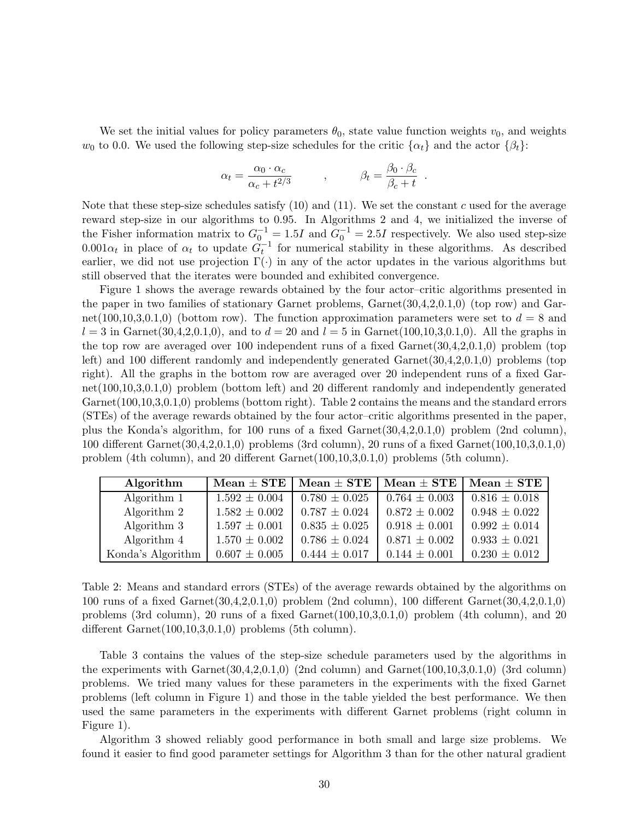We set the initial values for policy parameters  $\theta_0$ , state value function weights  $v_0$ , and weights  $w_0$  to 0.0. We used the following step-size schedules for the critic  $\{\alpha_t\}$  and the actor  $\{\beta_t\}$ :

$$
\alpha_t = \frac{\alpha_0 \cdot \alpha_c}{\alpha_c + t^{2/3}} \qquad , \qquad \beta_t = \frac{\beta_0 \cdot \beta_c}{\beta_c + t}
$$

.

Note that these step-size schedules satisfy  $(10)$  and  $(11)$ . We set the constant c used for the average reward step-size in our algorithms to 0.95. In Algorithms 2 and 4, we initialized the inverse of the Fisher information matrix to  $G_0^{-1} = 1.5I$  and  $G_0^{-1} = 2.5I$  respectively. We also used step-size  $0.001\alpha_t$  in place of  $\alpha_t$  to update  $\tilde{G}_t^{-1}$  for numerical stability in these algorithms. As described earlier, we did not use projection  $\Gamma(\cdot)$  in any of the actor updates in the various algorithms but still observed that the iterates were bounded and exhibited convergence.

Figure 1 shows the average rewards obtained by the four actor–critic algorithms presented in the paper in two families of stationary Garnet problems, Garnet(30,4,2,0.1,0) (top row) and Garnet(100,10,3,0.1,0) (bottom row). The function approximation parameters were set to  $d = 8$  and  $l = 3$  in Garnet(30,4,2,0.1,0), and to  $d = 20$  and  $l = 5$  in Garnet(100,10,3,0.1,0). All the graphs in the top row are averaged over 100 independent runs of a fixed Garnet(30,4,2,0.1,0) problem (top left) and 100 different randomly and independently generated Garnet(30,4,2,0,1,0) problems (top right). All the graphs in the bottom row are averaged over 20 independent runs of a fixed Garnet(100,10,3,0.1,0) problem (bottom left) and 20 different randomly and independently generated Garnet(100,10,3,0.1,0) problems (bottom right). Table 2 contains the means and the standard errors (STEs) of the average rewards obtained by the four actor–critic algorithms presented in the paper, plus the Konda's algorithm, for 100 runs of a fixed Garnet(30,4,2,0.1,0) problem (2nd column), 100 different Garnet(30,4,2,0.1,0) problems (3rd column), 20 runs of a fixed Garnet(100,10,3,0.1,0) problem (4th column), and 20 different Garnet(100,10,3,0.1,0) problems (5th column).

| Algorithm         | $Mean \pm STE$    | $\mathrm{Mean} \pm \mathrm{STE} \parallel$ | $\vert$ Mean $\pm$ STE $\vert$ Mean $\pm$ STE |                   |
|-------------------|-------------------|--------------------------------------------|-----------------------------------------------|-------------------|
| Algorithm 1       | $1.592 \pm 0.004$ | $0.780 \pm 0.025$                          | $0.764 \pm 0.003$                             | $0.816 \pm 0.018$ |
| Algorithm 2       | $1.582 \pm 0.002$ | $0.787 \pm 0.024$                          | $0.872 \pm 0.002$                             | $0.948 \pm 0.022$ |
| Algorithm 3       | $1.597 \pm 0.001$ | $0.835 \pm 0.025$                          | $0.918 \pm 0.001$                             | $0.992 \pm 0.014$ |
| Algorithm 4       | $1.570 \pm 0.002$ | $0.786 \pm 0.024$                          | $0.871 \pm 0.002$                             | $0.933 \pm 0.021$ |
| Konda's Algorithm | $0.607 \pm 0.005$ | $0.444 \pm 0.017$                          | $0.144 \pm 0.001$                             | $0.230 \pm 0.012$ |

Table 2: Means and standard errors (STEs) of the average rewards obtained by the algorithms on 100 runs of a fixed Garnet(30,4,2,0.1,0) problem (2nd column), 100 different Garnet(30,4,2,0.1,0) problems (3rd column), 20 runs of a fixed Garnet(100,10,3,0.1,0) problem (4th column), and 20 different  $Garnet(100,10,3,0.1,0)$  problems (5th column).

Table 3 contains the values of the step-size schedule parameters used by the algorithms in the experiments with  $Garnet(30,4,2,0.1,0)$  (2nd column) and  $Garnet(100,10,3,0.1,0)$  (3rd column) problems. We tried many values for these parameters in the experiments with the fixed Garnet problems (left column in Figure 1) and those in the table yielded the best performance. We then used the same parameters in the experiments with different Garnet problems (right column in Figure 1).

Algorithm 3 showed reliably good performance in both small and large size problems. We found it easier to find good parameter settings for Algorithm 3 than for the other natural gradient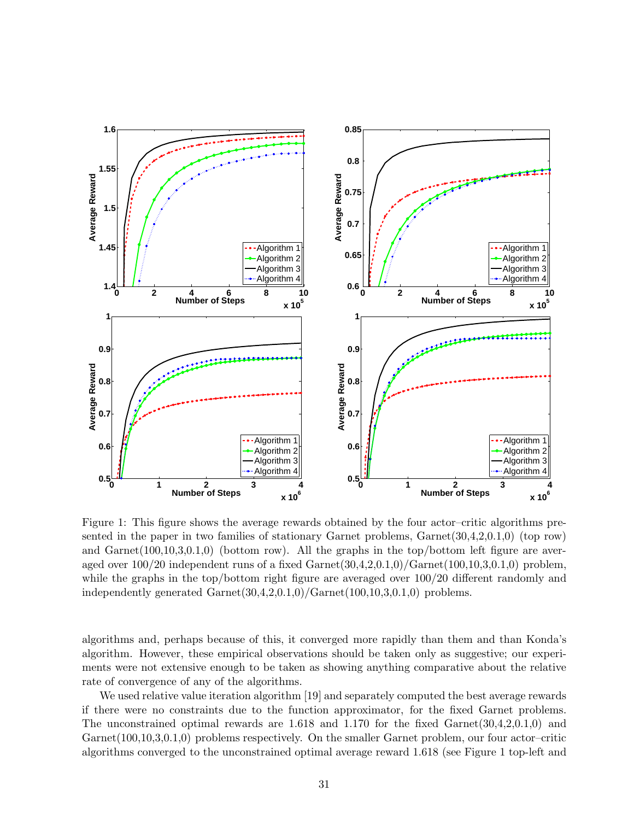

Figure 1: This figure shows the average rewards obtained by the four actor–critic algorithms presented in the paper in two families of stationary Garnet problems, Garnet(30,4,2,0.1,0) (top row) and  $Garnet(100,10,3,0.1,0)$  (bottom row). All the graphs in the top/bottom left figure are averaged over  $100/20$  independent runs of a fixed Garnet $(30,4,2,0.1,0)/\text{Garnet}(100,10,3,0.1,0)$  problem, while the graphs in the top/bottom right figure are averaged over  $100/20$  different randomly and independently generated  $Garnet(30,4,2,0.1,0)/Garnet(100,10,3,0.1,0)$  problems.

algorithms and, perhaps because of this, it converged more rapidly than them and than Konda's algorithm. However, these empirical observations should be taken only as suggestive; our experiments were not extensive enough to be taken as showing anything comparative about the relative rate of convergence of any of the algorithms.

We used relative value iteration algorithm [19] and separately computed the best average rewards if there were no constraints due to the function approximator, for the fixed Garnet problems. The unconstrained optimal rewards are 1.618 and 1.170 for the fixed Garnet(30,4,2,0.1,0) and Garnet(100,10,3,0.1,0) problems respectively. On the smaller Garnet problem, our four actor-critic algorithms converged to the unconstrained optimal average reward 1.618 (see Figure 1 top-left and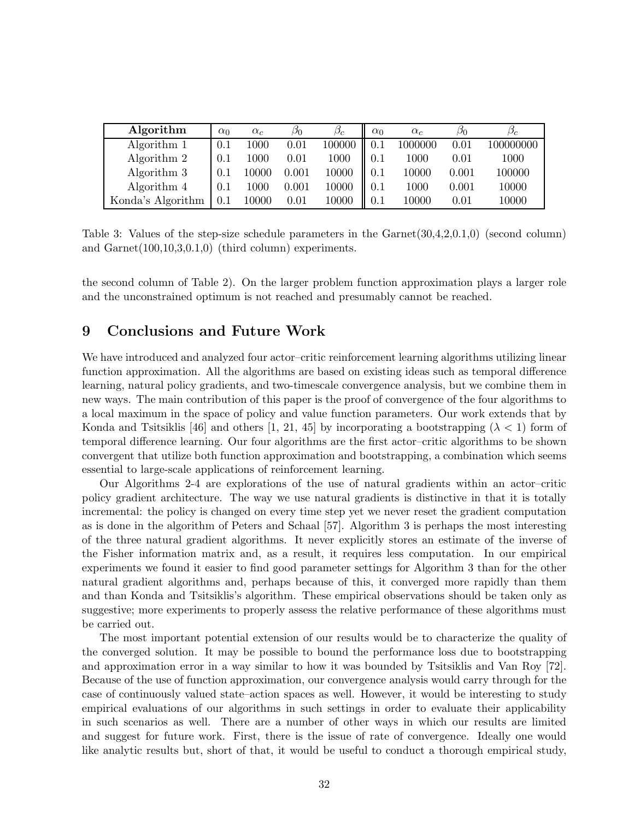| Algorithm         | $\alpha_0$ | $\alpha_c$ | Øο        | $\beta_c$ | $\alpha_0$ | $\alpha_c$ | Øο    | $\cup_{C}$ |
|-------------------|------------|------------|-----------|-----------|------------|------------|-------|------------|
| Algorithm 1       | 0.1        | $1000\,$   | 0.01      | 100000    | 0.1        | 1000000    | 0.01  | 100000000  |
| Algorithm 2       | 0.1        | 1000       | 0.01      | $1000\,$  | 0.1        | 1000       | 0.01  | 1000       |
| Algorithm 3       | 0.1        | 10000      | 0.001     | 10000     | 0.1        | 10000      | 0.001 | 100000     |
| Algorithm 4       | 0.1        | $1000\,$   | $0.001\,$ | 10000     | 0.1        | 1000       | 0.001 | 10000      |
| Konda's Algorithm | $0.1\,$    | 10000      | 0.01      | 10000     | 0.1        | 10000      | 0.01  | 10000      |

Table 3: Values of the step-size schedule parameters in the Garnet(30,4,2,0.1,0) (second column) and Garnet(100,10,3,0.1,0) (third column) experiments.

the second column of Table 2). On the larger problem function approximation plays a larger role and the unconstrained optimum is not reached and presumably cannot be reached.

## 9 Conclusions and Future Work

We have introduced and analyzed four actor–critic reinforcement learning algorithms utilizing linear function approximation. All the algorithms are based on existing ideas such as temporal difference learning, natural policy gradients, and two-timescale convergence analysis, but we combine them in new ways. The main contribution of this paper is the proof of convergence of the four algorithms to a local maximum in the space of policy and value function parameters. Our work extends that by Konda and Tsitsiklis [46] and others [1, 21, 45] by incorporating a bootstrapping ( $\lambda$  < 1) form of temporal difference learning. Our four algorithms are the first actor–critic algorithms to be shown convergent that utilize both function approximation and bootstrapping, a combination which seems essential to large-scale applications of reinforcement learning.

Our Algorithms 2-4 are explorations of the use of natural gradients within an actor–critic policy gradient architecture. The way we use natural gradients is distinctive in that it is totally incremental: the policy is changed on every time step yet we never reset the gradient computation as is done in the algorithm of Peters and Schaal [57]. Algorithm 3 is perhaps the most interesting of the three natural gradient algorithms. It never explicitly stores an estimate of the inverse of the Fisher information matrix and, as a result, it requires less computation. In our empirical experiments we found it easier to find good parameter settings for Algorithm 3 than for the other natural gradient algorithms and, perhaps because of this, it converged more rapidly than them and than Konda and Tsitsiklis's algorithm. These empirical observations should be taken only as suggestive; more experiments to properly assess the relative performance of these algorithms must be carried out.

The most important potential extension of our results would be to characterize the quality of the converged solution. It may be possible to bound the performance loss due to bootstrapping and approximation error in a way similar to how it was bounded by Tsitsiklis and Van Roy [72]. Because of the use of function approximation, our convergence analysis would carry through for the case of continuously valued state–action spaces as well. However, it would be interesting to study empirical evaluations of our algorithms in such settings in order to evaluate their applicability in such scenarios as well. There are a number of other ways in which our results are limited and suggest for future work. First, there is the issue of rate of convergence. Ideally one would like analytic results but, short of that, it would be useful to conduct a thorough empirical study,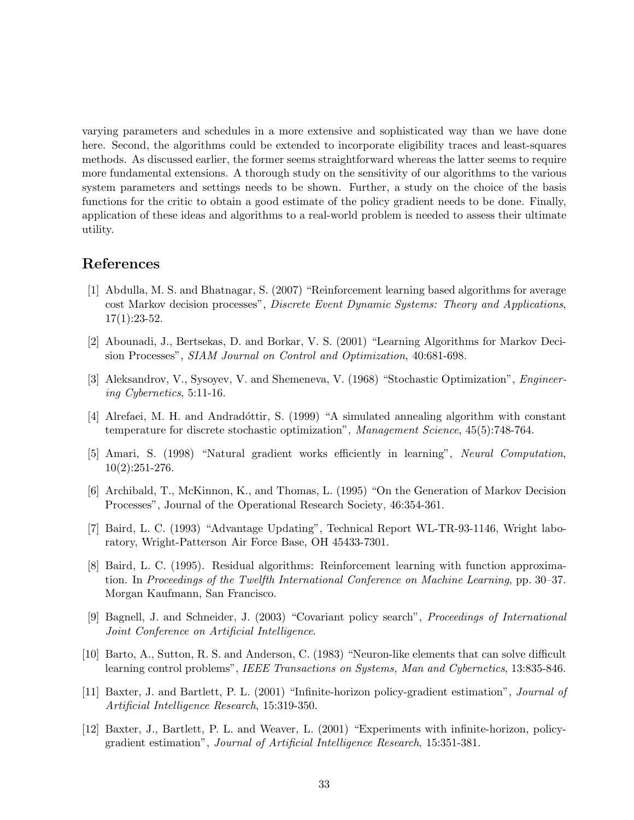varying parameters and schedules in a more extensive and sophisticated way than we have done here. Second, the algorithms could be extended to incorporate eligibility traces and least-squares methods. As discussed earlier, the former seems straightforward whereas the latter seems to require more fundamental extensions. A thorough study on the sensitivity of our algorithms to the various system parameters and settings needs to be shown. Further, a study on the choice of the basis functions for the critic to obtain a good estimate of the policy gradient needs to be done. Finally, application of these ideas and algorithms to a real-world problem is needed to assess their ultimate utility.

## References

- [1] Abdulla, M. S. and Bhatnagar, S. (2007) "Reinforcement learning based algorithms for average cost Markov decision processes", *Discrete Event Dynamic Systems: Theory and Applications*, 17(1):23-52.
- [2] Abounadi, J., Bertsekas, D. and Borkar, V. S. (2001) "Learning Algorithms for Markov Decision Processes", *SIAM Journal on Control and Optimization*, 40:681-698.
- [3] Aleksandrov, V., Sysoyev, V. and Shemeneva, V. (1968) "Stochastic Optimization", *Engineering Cybernetics*, 5:11-16.
- [4] Alrefaei, M. H. and Andradóttir, S. (1999) "A simulated annealing algorithm with constant temperature for discrete stochastic optimization", *Management Science*, 45(5):748-764.
- [5] Amari, S. (1998) "Natural gradient works efficiently in learning", *Neural Computation*, 10(2):251-276.
- [6] Archibald, T., McKinnon, K., and Thomas, L. (1995) "On the Generation of Markov Decision Processes", Journal of the Operational Research Society, 46:354-361.
- [7] Baird, L. C. (1993) "Advantage Updating", Technical Report WL-TR-93-1146, Wright laboratory, Wright-Patterson Air Force Base, OH 45433-7301.
- [8] Baird, L. C. (1995). Residual algorithms: Reinforcement learning with function approximation. In *Proceedings of the Twelfth International Conference on Machine Learning*, pp. 30–37. Morgan Kaufmann, San Francisco.
- [9] Bagnell, J. and Schneider, J. (2003) "Covariant policy search", *Proceedings of International Joint Conference on Artificial Intelligence*.
- [10] Barto, A., Sutton, R. S. and Anderson, C. (1983) "Neuron-like elements that can solve difficult learning control problems", *IEEE Transactions on Systems, Man and Cybernetics*, 13:835-846.
- [11] Baxter, J. and Bartlett, P. L. (2001) "Infinite-horizon policy-gradient estimation", *Journal of Artificial Intelligence Research*, 15:319-350.
- [12] Baxter, J., Bartlett, P. L. and Weaver, L. (2001) "Experiments with infinite-horizon, policygradient estimation", *Journal of Artificial Intelligence Research*, 15:351-381.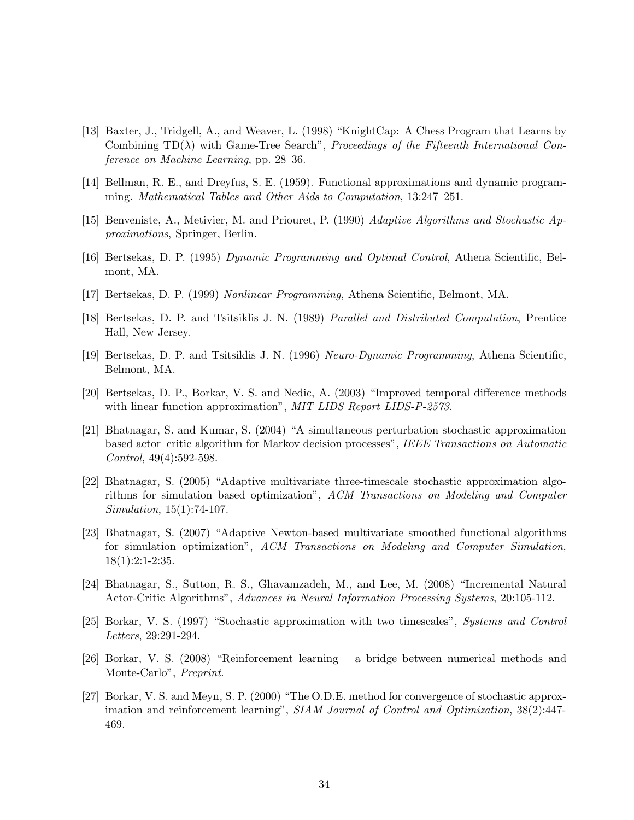- [13] Baxter, J., Tridgell, A., and Weaver, L. (1998) "KnightCap: A Chess Program that Learns by Combining TD(λ) with Game-Tree Search", *Proceedings of the Fifteenth International Conference on Machine Learning*, pp. 28–36.
- [14] Bellman, R. E., and Dreyfus, S. E. (1959). Functional approximations and dynamic programming. *Mathematical Tables and Other Aids to Computation*, 13:247–251.
- [15] Benveniste, A., Metivier, M. and Priouret, P. (1990) *Adaptive Algorithms and Stochastic Approximations*, Springer, Berlin.
- [16] Bertsekas, D. P. (1995) *Dynamic Programming and Optimal Control*, Athena Scientific, Belmont, MA.
- [17] Bertsekas, D. P. (1999) *Nonlinear Programming*, Athena Scientific, Belmont, MA.
- [18] Bertsekas, D. P. and Tsitsiklis J. N. (1989) *Parallel and Distributed Computation*, Prentice Hall, New Jersey.
- [19] Bertsekas, D. P. and Tsitsiklis J. N. (1996) *Neuro-Dynamic Programming*, Athena Scientific, Belmont, MA.
- [20] Bertsekas, D. P., Borkar, V. S. and Nedic, A. (2003) "Improved temporal difference methods with linear function approximation", *MIT LIDS Report LIDS-P-2573*.
- [21] Bhatnagar, S. and Kumar, S. (2004) "A simultaneous perturbation stochastic approximation based actor–critic algorithm for Markov decision processes", *IEEE Transactions on Automatic Control*, 49(4):592-598.
- [22] Bhatnagar, S. (2005) "Adaptive multivariate three-timescale stochastic approximation algorithms for simulation based optimization", *ACM Transactions on Modeling and Computer Simulation*, 15(1):74-107.
- [23] Bhatnagar, S. (2007) "Adaptive Newton-based multivariate smoothed functional algorithms for simulation optimization", *ACM Transactions on Modeling and Computer Simulation*, 18(1):2:1-2:35.
- [24] Bhatnagar, S., Sutton, R. S., Ghavamzadeh, M., and Lee, M. (2008) "Incremental Natural Actor-Critic Algorithms", *Advances in Neural Information Processing Systems*, 20:105-112.
- [25] Borkar, V. S. (1997) "Stochastic approximation with two timescales", *Systems and Control Letters*, 29:291-294.
- [26] Borkar, V. S. (2008) "Reinforcement learning a bridge between numerical methods and Monte-Carlo", *Preprint*.
- [27] Borkar, V. S. and Meyn, S. P. (2000) "The O.D.E. method for convergence of stochastic approximation and reinforcement learning", *SIAM Journal of Control and Optimization*, 38(2):447- 469.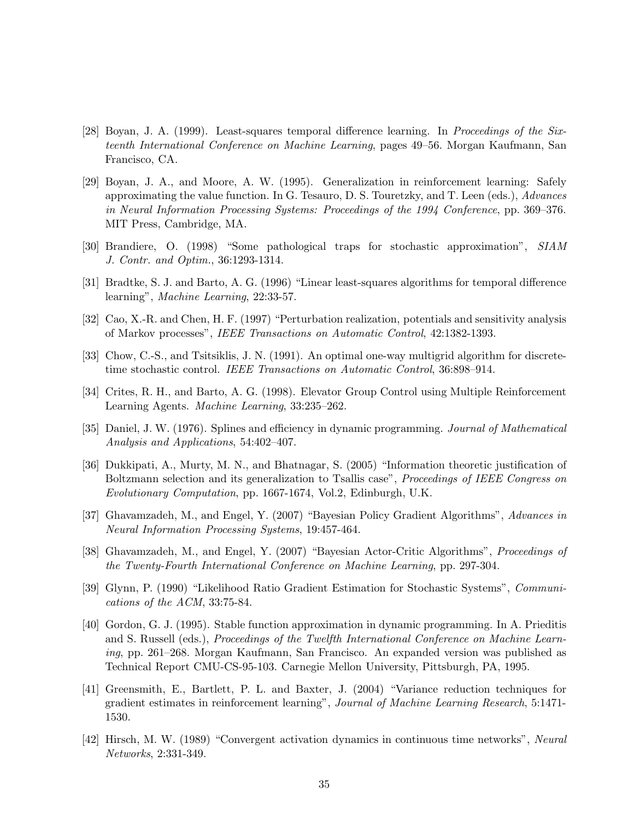- [28] Boyan, J. A. (1999). Least-squares temporal difference learning. In *Proceedings of the Sixteenth International Conference on Machine Learning*, pages 49–56. Morgan Kaufmann, San Francisco, CA.
- [29] Boyan, J. A., and Moore, A. W. (1995). Generalization in reinforcement learning: Safely approximating the value function. In G. Tesauro, D. S. Touretzky, and T. Leen (eds.), *Advances in Neural Information Processing Systems: Proceedings of the 1994 Conference*, pp. 369–376. MIT Press, Cambridge, MA.
- [30] Brandiere, O. (1998) "Some pathological traps for stochastic approximation", *SIAM J. Contr. and Optim.*, 36:1293-1314.
- [31] Bradtke, S. J. and Barto, A. G. (1996) "Linear least-squares algorithms for temporal difference learning", *Machine Learning*, 22:33-57.
- [32] Cao, X.-R. and Chen, H. F. (1997) "Perturbation realization, potentials and sensitivity analysis of Markov processes", *IEEE Transactions on Automatic Control*, 42:1382-1393.
- [33] Chow, C.-S., and Tsitsiklis, J. N. (1991). An optimal one-way multigrid algorithm for discretetime stochastic control. *IEEE Transactions on Automatic Control*, 36:898–914.
- [34] Crites, R. H., and Barto, A. G. (1998). Elevator Group Control using Multiple Reinforcement Learning Agents. *Machine Learning*, 33:235–262.
- [35] Daniel, J. W. (1976). Splines and efficiency in dynamic programming. *Journal of Mathematical Analysis and Applications*, 54:402–407.
- [36] Dukkipati, A., Murty, M. N., and Bhatnagar, S. (2005) "Information theoretic justification of Boltzmann selection and its generalization to Tsallis case", *Proceedings of IEEE Congress on Evolutionary Computation*, pp. 1667-1674, Vol.2, Edinburgh, U.K.
- [37] Ghavamzadeh, M., and Engel, Y. (2007) "Bayesian Policy Gradient Algorithms", *Advances in Neural Information Processing Systems*, 19:457-464.
- [38] Ghavamzadeh, M., and Engel, Y. (2007) "Bayesian Actor-Critic Algorithms", *Proceedings of the Twenty-Fourth International Conference on Machine Learning*, pp. 297-304.
- [39] Glynn, P. (1990) "Likelihood Ratio Gradient Estimation for Stochastic Systems", *Communications of the ACM*, 33:75-84.
- [40] Gordon, G. J. (1995). Stable function approximation in dynamic programming. In A. Prieditis and S. Russell (eds.), *Proceedings of the Twelfth International Conference on Machine Learning*, pp. 261–268. Morgan Kaufmann, San Francisco. An expanded version was published as Technical Report CMU-CS-95-103. Carnegie Mellon University, Pittsburgh, PA, 1995.
- [41] Greensmith, E., Bartlett, P. L. and Baxter, J. (2004) "Variance reduction techniques for gradient estimates in reinforcement learning", *Journal of Machine Learning Research*, 5:1471- 1530.
- [42] Hirsch, M. W. (1989) "Convergent activation dynamics in continuous time networks", *Neural Networks*, 2:331-349.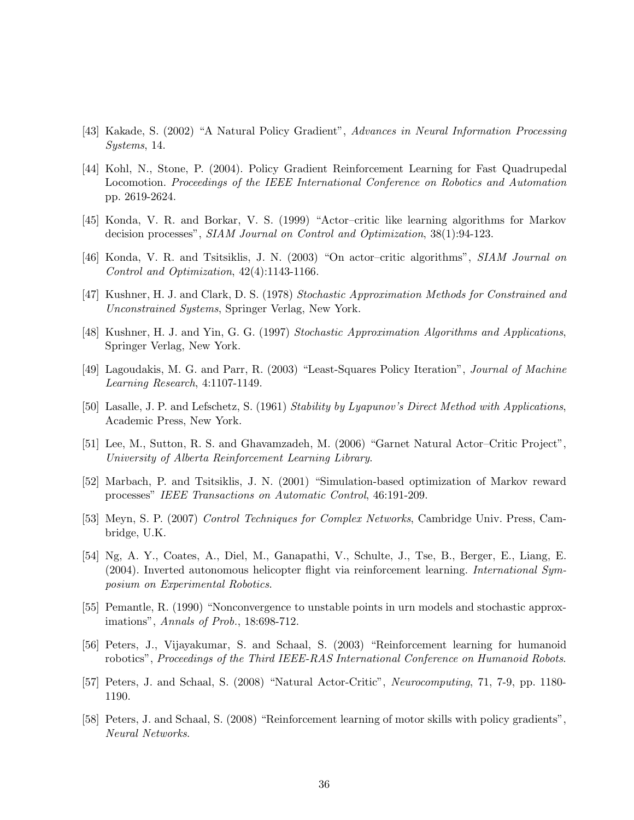- [43] Kakade, S. (2002) "A Natural Policy Gradient", *Advances in Neural Information Processing Systems*, 14.
- [44] Kohl, N., Stone, P. (2004). Policy Gradient Reinforcement Learning for Fast Quadrupedal Locomotion. *Proceedings of the IEEE International Conference on Robotics and Automation* pp. 2619-2624.
- [45] Konda, V. R. and Borkar, V. S. (1999) "Actor–critic like learning algorithms for Markov decision processes", *SIAM Journal on Control and Optimization*, 38(1):94-123.
- [46] Konda, V. R. and Tsitsiklis, J. N. (2003) "On actor–critic algorithms", *SIAM Journal on Control and Optimization*, 42(4):1143-1166.
- [47] Kushner, H. J. and Clark, D. S. (1978) *Stochastic Approximation Methods for Constrained and Unconstrained Systems*, Springer Verlag, New York.
- [48] Kushner, H. J. and Yin, G. G. (1997) *Stochastic Approximation Algorithms and Applications*, Springer Verlag, New York.
- [49] Lagoudakis, M. G. and Parr, R. (2003) "Least-Squares Policy Iteration", *Journal of Machine Learning Research*, 4:1107-1149.
- [50] Lasalle, J. P. and Lefschetz, S. (1961) *Stability by Lyapunov's Direct Method with Applications*, Academic Press, New York.
- [51] Lee, M., Sutton, R. S. and Ghavamzadeh, M. (2006) "Garnet Natural Actor–Critic Project", *University of Alberta Reinforcement Learning Library*.
- [52] Marbach, P. and Tsitsiklis, J. N. (2001) "Simulation-based optimization of Markov reward processes" *IEEE Transactions on Automatic Control*, 46:191-209.
- [53] Meyn, S. P. (2007) *Control Techniques for Complex Networks*, Cambridge Univ. Press, Cambridge, U.K.
- [54] Ng, A. Y., Coates, A., Diel, M., Ganapathi, V., Schulte, J., Tse, B., Berger, E., Liang, E. (2004). Inverted autonomous helicopter flight via reinforcement learning. *International Symposium on Experimental Robotics*.
- [55] Pemantle, R. (1990) "Nonconvergence to unstable points in urn models and stochastic approximations", *Annals of Prob.*, 18:698-712.
- [56] Peters, J., Vijayakumar, S. and Schaal, S. (2003) "Reinforcement learning for humanoid robotics", *Proceedings of the Third IEEE-RAS International Conference on Humanoid Robots*.
- [57] Peters, J. and Schaal, S. (2008) "Natural Actor-Critic", *Neurocomputing*, 71, 7-9, pp. 1180- 1190.
- [58] Peters, J. and Schaal, S. (2008) "Reinforcement learning of motor skills with policy gradients", *Neural Networks*.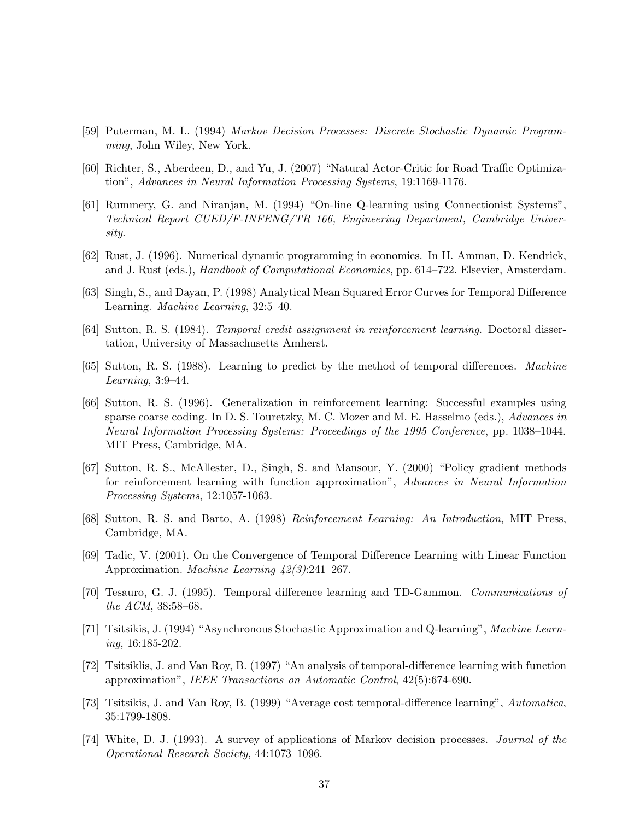- [59] Puterman, M. L. (1994) *Markov Decision Processes: Discrete Stochastic Dynamic Programming*, John Wiley, New York.
- [60] Richter, S., Aberdeen, D., and Yu, J. (2007) "Natural Actor-Critic for Road Traffic Optimization", *Advances in Neural Information Processing Systems*, 19:1169-1176.
- [61] Rummery, G. and Niranjan, M. (1994) "On-line Q-learning using Connectionist Systems", *Technical Report CUED/F-INFENG/TR 166, Engineering Department, Cambridge University*.
- [62] Rust, J. (1996). Numerical dynamic programming in economics. In H. Amman, D. Kendrick, and J. Rust (eds.), *Handbook of Computational Economics*, pp. 614–722. Elsevier, Amsterdam.
- [63] Singh, S., and Dayan, P. (1998) Analytical Mean Squared Error Curves for Temporal Difference Learning. *Machine Learning*, 32:5–40.
- [64] Sutton, R. S. (1984). *Temporal credit assignment in reinforcement learning*. Doctoral dissertation, University of Massachusetts Amherst.
- [65] Sutton, R. S. (1988). Learning to predict by the method of temporal differences. *Machine Learning*, 3:9–44.
- [66] Sutton, R. S. (1996). Generalization in reinforcement learning: Successful examples using sparse coarse coding. In D. S. Touretzky, M. C. Mozer and M. E. Hasselmo (eds.), *Advances in Neural Information Processing Systems: Proceedings of the 1995 Conference*, pp. 1038–1044. MIT Press, Cambridge, MA.
- [67] Sutton, R. S., McAllester, D., Singh, S. and Mansour, Y. (2000) "Policy gradient methods for reinforcement learning with function approximation", *Advances in Neural Information Processing Systems*, 12:1057-1063.
- [68] Sutton, R. S. and Barto, A. (1998) *Reinforcement Learning: An Introduction*, MIT Press, Cambridge, MA.
- [69] Tadic, V. (2001). On the Convergence of Temporal Difference Learning with Linear Function Approximation. *Machine Learning 42(3)*:241–267.
- [70] Tesauro, G. J. (1995). Temporal difference learning and TD-Gammon. *Communications of the ACM*, 38:58–68.
- [71] Tsitsikis, J. (1994) "Asynchronous Stochastic Approximation and Q-learning", *Machine Learning*, 16:185-202.
- [72] Tsitsiklis, J. and Van Roy, B. (1997) "An analysis of temporal-difference learning with function approximation", *IEEE Transactions on Automatic Control*, 42(5):674-690.
- [73] Tsitsikis, J. and Van Roy, B. (1999) "Average cost temporal-difference learning", *Automatica*, 35:1799-1808.
- [74] White, D. J. (1993). A survey of applications of Markov decision processes. *Journal of the Operational Research Society*, 44:1073–1096.